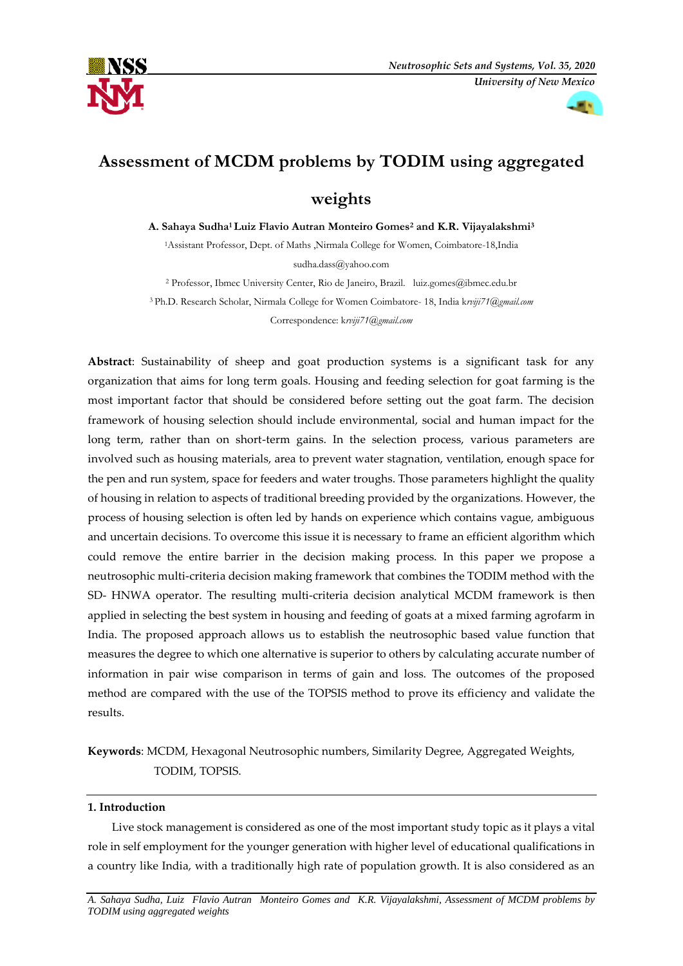



# **Assessment of MCDM problems by TODIM using aggregated**

# **weights**

**A. Sahaya Sudha1 Luiz Flavio Autran Monteiro Gomes<sup>2</sup> and K.R. Vijayalakshmi<sup>3</sup>**

<sup>1</sup>Assistant Professor, Dept. of Maths ,Nirmala College for Women, Coimbatore-18,India [sudha.dass@yahoo.com](mailto:sudha.dass@yahoo.com)

<sup>2</sup> Professor, Ibmec University Center, Rio de Janeiro, Brazil. luiz.gomes@ibmec.edu.br <sup>3</sup>Ph.D. Research Scholar, Nirmala College for Women Coimbatore- 18, India k*[rviji71@gmail.com](mailto:krviji71@gmail.com)* Correspondence: k*[rviji71@gmail.com](mailto:krviji71@gmail.com)*

**Abstract**: Sustainability of sheep and goat production systems is a significant task for any organization that aims for long term goals. Housing and feeding selection for goat farming is the most important factor that should be considered before setting out the goat farm. The decision framework of housing selection should include environmental, social and human impact for the long term, rather than on short-term gains. In the selection process, various parameters are involved such as housing materials, area to prevent water stagnation, ventilation, enough space for the pen and run system, space for feeders and water troughs. Those parameters highlight the quality of housing in relation to aspects of traditional breeding provided by the organizations. However, the process of housing selection is often led by hands on experience which contains vague, ambiguous and uncertain decisions. To overcome this issue it is necessary to frame an efficient algorithm which could remove the entire barrier in the decision making process. In this paper we propose a neutrosophic multi-criteria decision making framework that combines the TODIM method with the SD- HNWA operator. The resulting multi-criteria decision analytical MCDM framework is then applied in selecting the best system in housing and feeding of goats at a mixed farming agrofarm in India. The proposed approach allows us to establish the neutrosophic based value function that measures the degree to which one alternative is superior to others by calculating accurate number of information in pair wise comparison in terms of gain and loss. The outcomes of the proposed method are compared with the use of the TOPSIS method to prove its efficiency and validate the results.

**Keywords**: MCDM, Hexagonal Neutrosophic numbers, Similarity Degree, Aggregated Weights, TODIM, TOPSIS.

# **1. Introduction**

Live stock management is considered as one of the most important study topic as it plays a vital role in self employment for the younger generation with higher level of educational qualifications in a country like India, with a traditionally high rate of population growth. It is also considered as an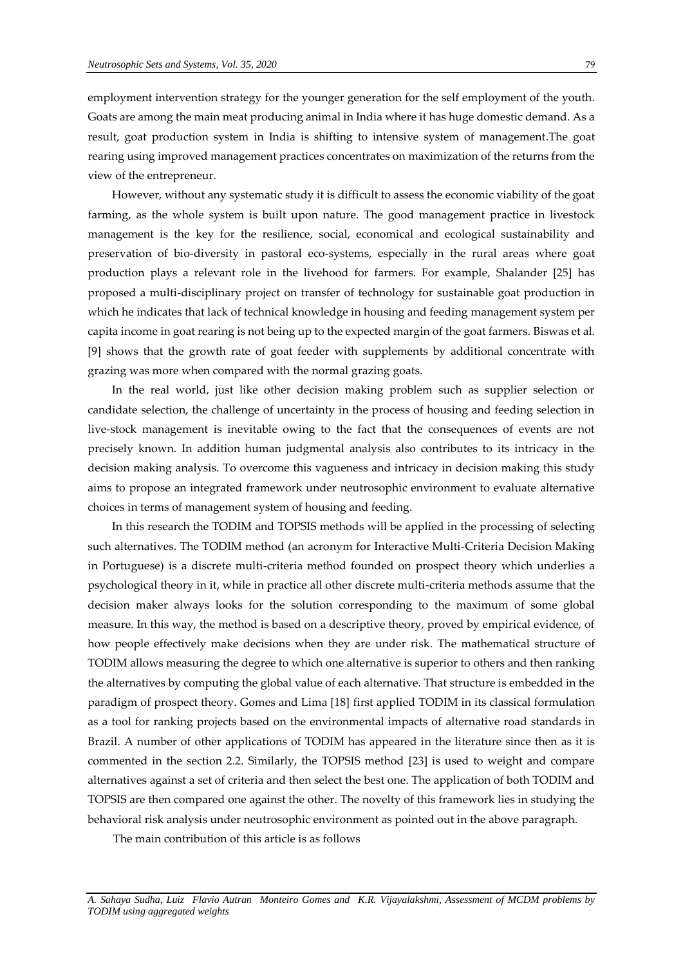employment intervention strategy for the younger generation for the self employment of the youth. Goats are among the main meat producing animal in India where it has huge domestic demand. As a result, goat production system in India is shifting to intensive system of management.The goat rearing using improved management practices concentrates on maximization of the returns from the view of the entrepreneur.

However, without any systematic study it is difficult to assess the economic viability of the goat farming, as the whole system is built upon nature. The good management practice in livestock management is the key for the resilience, social, economical and ecological sustainability and preservation of bio-diversity in pastoral eco-systems, especially in the rural areas where goat production plays a relevant role in the livehood for farmers. For example, Shalander [25] has proposed a multi-disciplinary project on transfer of technology for sustainable goat production in which he indicates that lack of technical knowledge in housing and feeding management system per capita income in goat rearing is not being up to the expected margin of the goat farmers. Biswas et al*.* [9] shows that the growth rate of goat feeder with supplements by additional concentrate with grazing was more when compared with the normal grazing goats.

In the real world, just like other decision making problem such as supplier selection or candidate selection, the challenge of uncertainty in the process of housing and feeding selection in live-stock management is inevitable owing to the fact that the consequences of events are not precisely known. In addition human judgmental analysis also contributes to its intricacy in the decision making analysis. To overcome this vagueness and intricacy in decision making this study aims to propose an integrated framework under neutrosophic environment to evaluate alternative choices in terms of management system of housing and feeding.

In this research the TODIM and TOPSIS methods will be applied in the processing of selecting such alternatives. The TODIM method (an acronym for Interactive Multi-Criteria Decision Making in Portuguese) is a discrete multi-criteria method founded on prospect theory which underlies a psychological theory in it, while in practice all other discrete multi-criteria methods assume that the decision maker always looks for the solution corresponding to the maximum of some global measure. In this way, the method is based on a descriptive theory, proved by empirical evidence, of how people effectively make decisions when they are under risk. The mathematical structure of TODIM allows measuring the degree to which one alternative is superior to others and then ranking the alternatives by computing the global value of each alternative. That structure is embedded in the paradigm of prospect theory. Gomes and Lima [18] first applied TODIM in its classical formulation as a tool for ranking projects based on the environmental impacts of alternative road standards in Brazil. A number of other applications of TODIM has appeared in the literature since then as it is commented in the section 2.2. Similarly, the TOPSIS method [23] is used to weight and compare alternatives against a set of criteria and then select the best one. The application of both TODIM and TOPSIS are then compared one against the other. The novelty of this framework lies in studying the behavioral risk analysis under neutrosophic environment as pointed out in the above paragraph.

The main contribution of this article is as follows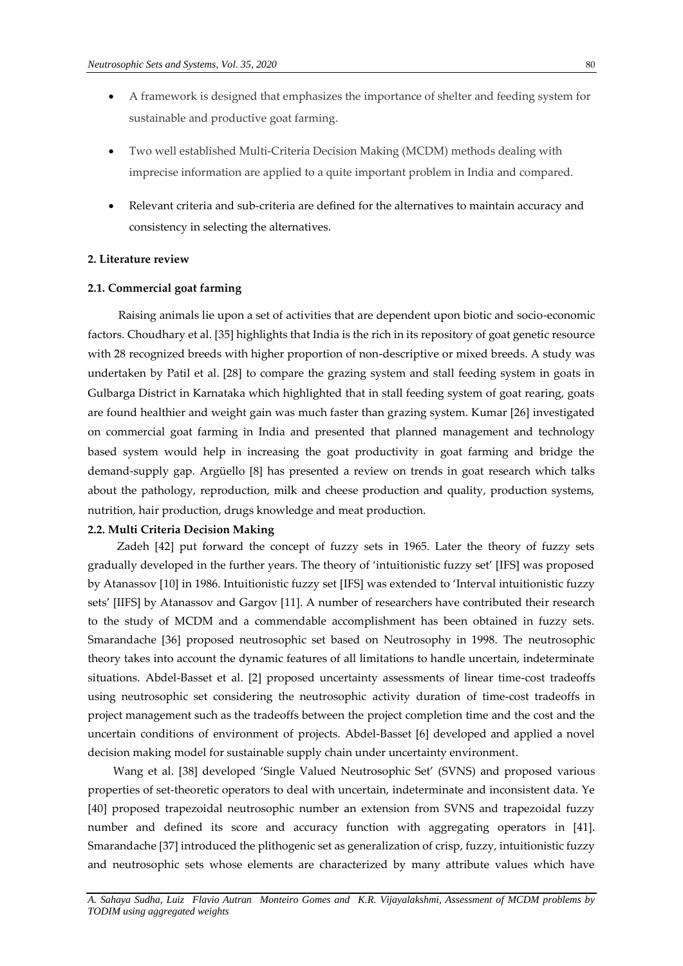- A framework is designed that emphasizes the importance of shelter and feeding system for sustainable and productive goat farming.
- Two well established Multi-Criteria Decision Making (MCDM) methods dealing with imprecise information are applied to a quite important problem in India and compared.
- Relevant criteria and sub-criteria are defined for the alternatives to maintain accuracy and consistency in selecting the alternatives.

#### **2. Literature review**

## **2.1. Commercial goat farming**

 Raising animals lie upon a set of activities that are dependent upon biotic and socio-economic factors. Choudhary et al. [35] highlights that India is the rich in its repository of goat genetic resource with 28 recognized breeds with higher proportion of non-descriptive or mixed breeds. A study was undertaken by Patil et al. [28] to compare the grazing system and stall feeding system in goats in Gulbarga District in Karnataka which highlighted that in stall feeding system of goat rearing, goats are found healthier and weight gain was much faster than grazing system. Kumar [26] investigated on commercial goat farming in India and presented that planned management and technology based system would help in increasing the goat productivity in goat farming and bridge the demand-supply gap. Argüello [8] has presented a review on trends in goat research which talks about the pathology, reproduction, milk and cheese production and quality, production systems, nutrition, hair production, drugs knowledge and meat production.

#### **2.2. Multi Criteria Decision Making**

Zadeh [42] put forward the concept of fuzzy sets in 1965. Later the theory of fuzzy sets gradually developed in the further years. The theory of 'intuitionistic fuzzy set' [IFS] was proposed by Atanassov [10] in 1986. Intuitionistic fuzzy set [IFS] was extended to 'Interval intuitionistic fuzzy sets' [IIFS] by Atanassov and Gargov [11]. A number of researchers have contributed their research to the study of MCDM and a commendable accomplishment has been obtained in fuzzy sets. Smarandache [36] proposed neutrosophic set based on Neutrosophy in 1998. The neutrosophic theory takes into account the dynamic features of all limitations to handle uncertain, indeterminate situations. Abdel-Basset et al. [2] proposed uncertainty assessments of linear time-cost tradeoffs using neutrosophic set considering the neutrosophic activity duration of time-cost tradeoffs in project management such as the tradeoffs between the project completion time and the cost and the uncertain conditions of environment of projects. Abdel-Basset [6] developed and applied a novel decision making model for sustainable supply chain under uncertainty environment.

 Wang et al. [38] developed 'Single Valued Neutrosophic Set' (SVNS) and proposed various properties of set-theoretic operators to deal with uncertain, indeterminate and inconsistent data. Ye [40] proposed trapezoidal neutrosophic number an extension from SVNS and trapezoidal fuzzy number and defined its score and accuracy function with aggregating operators in [41]. Smarandache [37] introduced the plithogenic set as generalization of crisp, fuzzy, intuitionistic fuzzy and neutrosophic sets whose elements are characterized by many attribute values which have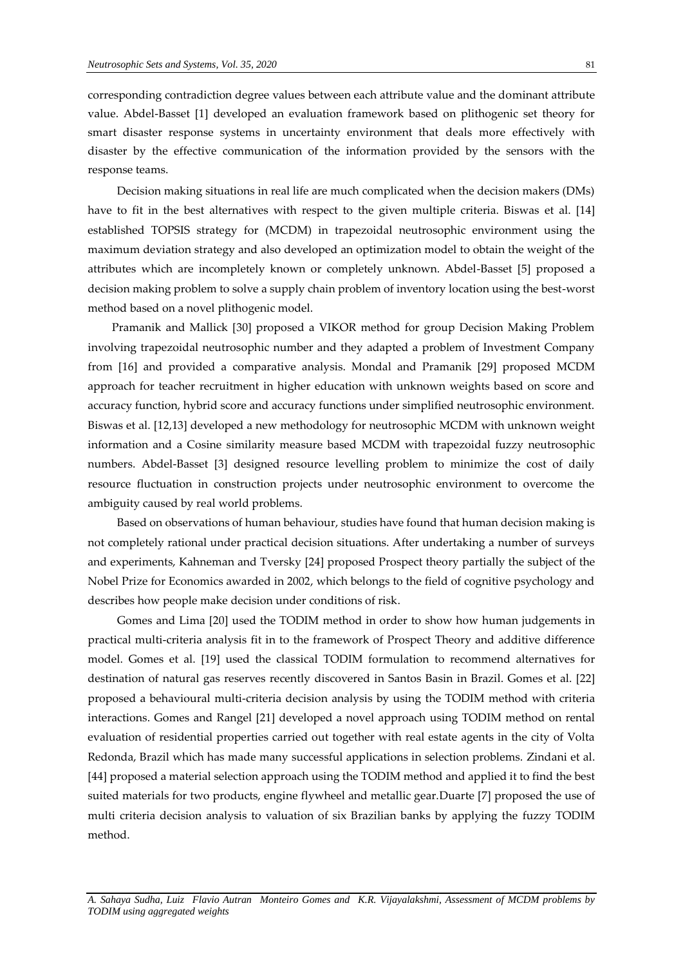corresponding contradiction degree values between each attribute value and the dominant attribute value. Abdel-Basset [1] developed an evaluation framework based on plithogenic set theory for smart disaster response systems in uncertainty environment that deals more effectively with disaster by the effective communication of the information provided by the sensors with the response teams.

Decision making situations in real life are much complicated when the decision makers (DMs) have to fit in the best alternatives with respect to the given multiple criteria. Biswas et al. [14] established TOPSIS strategy for (MCDM) in trapezoidal neutrosophic environment using the maximum deviation strategy and also developed an optimization model to obtain the weight of the attributes which are incompletely known or completely unknown. Abdel-Basset [5] proposed a decision making problem to solve a supply chain problem of inventory location using the best-worst method based on a novel plithogenic model.

Pramanik and Mallick [30] proposed a VIKOR method for group Decision Making Problem involving trapezoidal neutrosophic number and they adapted a problem of Investment Company from [16] and provided a comparative analysis. Mondal and Pramanik [29] proposed MCDM approach for teacher recruitment in higher education with unknown weights based on score and accuracy function, hybrid score and accuracy functions under simplified neutrosophic environment. Biswas et al. [12,13] developed a new methodology for neutrosophic MCDM with unknown weight information and a Cosine similarity measure based MCDM with trapezoidal fuzzy neutrosophic numbers. Abdel-Basset [3] designed resource levelling problem to minimize the cost of daily resource fluctuation in construction projects under neutrosophic environment to overcome the ambiguity caused by real world problems.

Based on observations of human behaviour, studies have found that human decision making is not completely rational under practical decision situations. After undertaking a number of surveys and experiments, Kahneman and Tversky [24] proposed Prospect theory partially the subject of the Nobel Prize for Economics awarded in 2002, which belongs to the field of cognitive psychology and describes how people make decision under conditions of risk.

Gomes and Lima [20] used the TODIM method in order to show how human judgements in practical multi-criteria analysis fit in to the framework of Prospect Theory and additive difference model. Gomes et al. [19] used the classical TODIM formulation to recommend alternatives for destination of natural gas reserves recently discovered in Santos Basin in Brazil. Gomes et al. [22] proposed a behavioural multi-criteria decision analysis by using the TODIM method with criteria interactions. Gomes and Rangel [21] developed a novel approach using TODIM method on rental evaluation of residential properties carried out together with real estate agents in the city of Volta Redonda, Brazil which has made many successful applications in selection problems. Zindani et al. [44] proposed a material selection approach using the TODIM method and applied it to find the best suited materials for two products, engine flywheel and metallic gear.Duarte [7] proposed the use of multi criteria decision analysis to valuation of six Brazilian banks by applying the fuzzy TODIM method.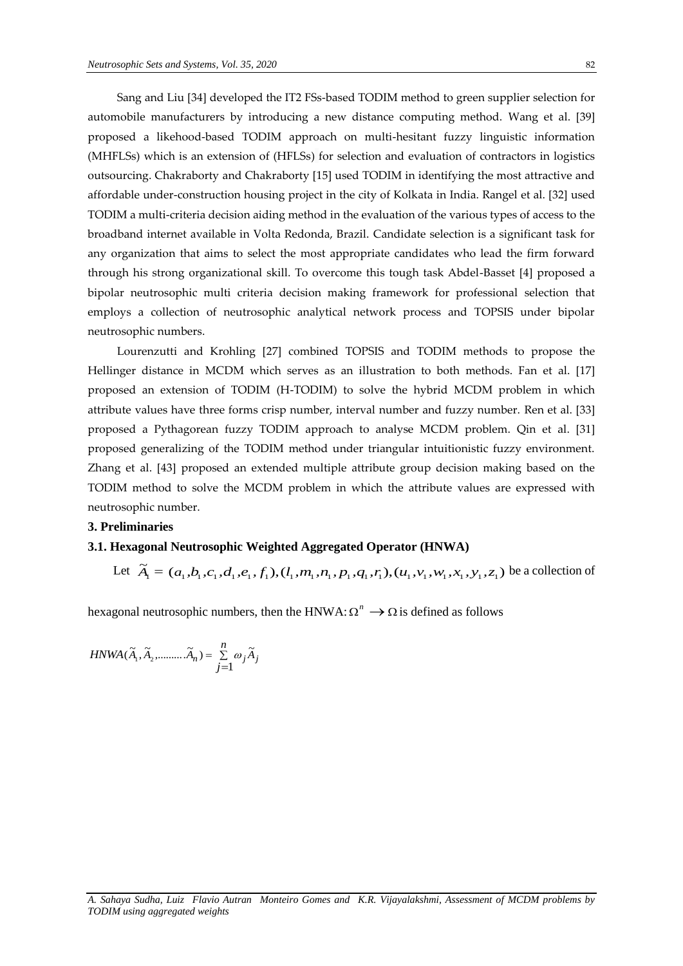Sang and Liu [34] developed the IT2 FSs-based TODIM method to green supplier selection for automobile manufacturers by introducing a new distance computing method. Wang et al. [39] proposed a likehood-based TODIM approach on multi-hesitant fuzzy linguistic information (MHFLSs) which is an extension of (HFLSs) for selection and evaluation of contractors in logistics outsourcing. Chakraborty and Chakraborty [15] used TODIM in identifying the most attractive and affordable under-construction housing project in the city of Kolkata in India. Rangel et al. [32] used TODIM a multi-criteria decision aiding method in the evaluation of the various types of access to the broadband internet available in Volta Redonda, Brazil. Candidate selection is a significant task for any organization that aims to select the most appropriate candidates who lead the firm forward through his strong organizational skill. To overcome this tough task Abdel-Basset [4] proposed a bipolar neutrosophic multi criteria decision making framework for professional selection that employs a collection of neutrosophic analytical network process and TOPSIS under bipolar neutrosophic numbers.

Lourenzutti and Krohling [27] combined TOPSIS and TODIM methods to propose the Hellinger distance in MCDM which serves as an illustration to both methods. Fan et al. [17] proposed an extension of TODIM (H-TODIM) to solve the hybrid MCDM problem in which attribute values have three forms crisp number, interval number and fuzzy number. Ren et al. [33] proposed a Pythagorean fuzzy TODIM approach to analyse MCDM problem. Qin et al. [31] proposed generalizing of the TODIM method under triangular intuitionistic fuzzy environment. Zhang et al. [43] proposed an extended multiple attribute group decision making based on the TODIM method to solve the MCDM problem in which the attribute values are expressed with neutrosophic number.

# **3. Preliminaries**

# **3.1. Hexagonal Neutrosophic Weighted Aggregated Operator (HNWA)**

Let  $\tilde{A}_1 = (a_1, b_1, c_1, d_1, e_1, f_1), (l_1, m_1, n_1, p_1, q_1, r_1), (u_1, v_1, w_1, x_1, y_1, z_1)$  be a collection of

hexagonal neutrosophic numbers, then the HNWA:  $\Omega^n \to \Omega$  is defined as follows

$$
HNWA(\widetilde{A}_1, \widetilde{A}_2, \dots, \widetilde{A}_n) = \sum_{j=1}^n \omega_j \widetilde{A}_j
$$

*A. Sahaya Sudha, Luiz Flavio Autran Monteiro Gomes and K.R. Vijayalakshmi, Assessment of MCDM problems by TODIM using aggregated weights*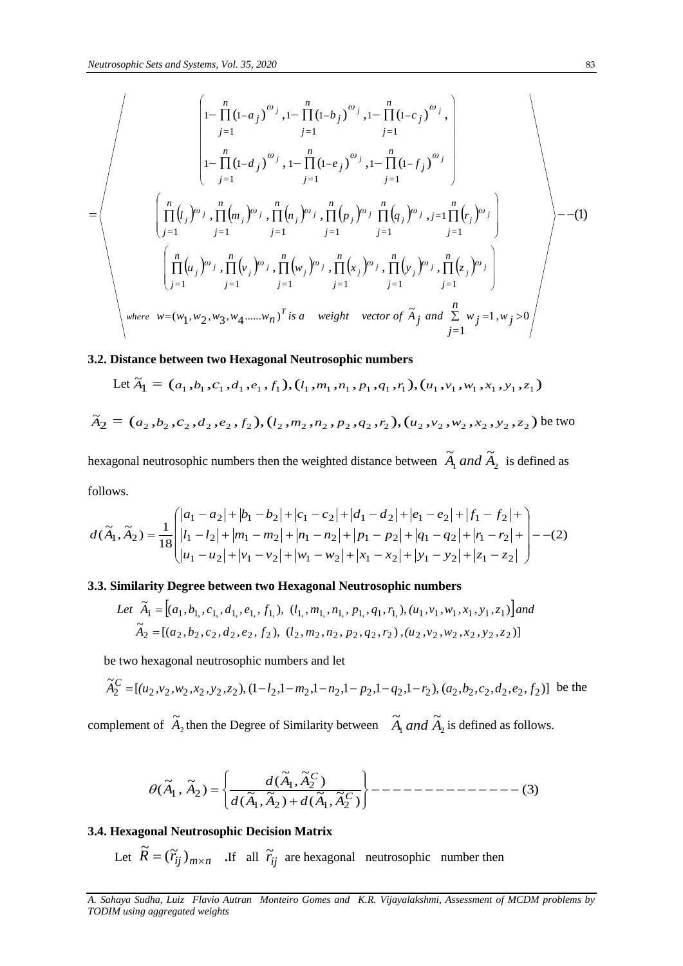$$
\begin{pmatrix}\n\begin{bmatrix}\n1-\prod_{j=1}^{n}(1-a_j)^{\omega_j}, & 1-\prod_{j=1}^{n}(1-b_j)^{\omega_j}, & 1-\prod_{j=1}^{n}(1-c_j)^{\omega_j}, \\
1-\prod_{j=1}^{n}(1-d_j)^{\omega_j}, & 1-\prod_{j=1}^{n}(1-e_j)^{\omega_j}, & 1-\prod_{j=1}^{n}(1-f_j)^{\omega_j}\n\end{bmatrix} \\
= \begin{pmatrix}\n\begin{bmatrix}\n\frac{n}{\prod}(l_j)^{\omega_j}, & \prod_{j=1}^{n}(m_j)^{\omega_j}, & \prod_{j=1}^{n}(n_j)^{\omega_j}, & \prod_{j=1}^{n}(p_j)^{\omega_j}, & \prod_{j=1}^{n}(r_j)^{\omega_j}, \\
\frac{n}{\prod}(l_j)^{\omega_j}, & \prod_{j=1}^{n}(r_j)^{\omega_j}, & \prod_{j=1}^{n}(r_j)^{\omega_j}, & \prod_{j=1}^{n}(r_j)^{\omega_j}, & \prod_{j=1}^{n}(r_j)^{\omega_j}\n\end{bmatrix} \\
\vdots & \begin{bmatrix}\n\frac{n}{\prod}(u_j)^{\omega_j}, & \prod_{j=1}^{n}(v_j)^{\omega_j}, & \prod_{j=1}^{n}(x_j)^{\omega_j}, & \prod_{j=1}^{n}(y_j)^{\omega_j}, & \prod_{j=1}^{n}(z_j)^{\omega_j}, \\
\vdots & \vdots & \vdots & \vdots \\
\frac{n}{\prod}(w_1, w_2, w_3, w_4, \dots, w_n)^T \text{ is a weight vector of } \tilde{A}_j \text{ and } \sum_{j=1}^{n}(w_j = 1, w_j > 0\n\end{bmatrix}\n\end{pmatrix}
$$

# **3.2. Distance between two Hexagonal Neutrosophic numbers**

Let 
$$
\tilde{A}_1 = (a_1, b_1, c_1, d_1, e_1, f_1), (l_1, m_1, n_1, p_1, q_1, r_1), (u_1, v_1, w_1, x_1, y_1, z_1)
$$
  
\n
$$
\tilde{A}_2 = (a_2, b_2, c_2, d_2, e_2, f_2), (l_2, m_2, n_2, p_2, q_2, r_2), (u_2, v_2, w_2, x_2, y_2, z_2)
$$
 be two

hexagonal neutrosophic numbers then the weighted distance between  $A_1$  and  $A_2$  $\widetilde{A}_1$  *and*  $\widetilde{A}_2$  is defined as follows.

$$
d(\tilde{A}_1, \tilde{A}_2) = \frac{1}{18} \begin{pmatrix} |a_1 - a_2| + |b_1 - b_2| + |c_1 - c_2| + |d_1 - d_2| + |e_1 - e_2| + |f_1 - f_2| + \\ |l_1 - l_2| + |m_1 - m_2| + |n_1 - n_2| + |p_1 - p_2| + |q_1 - q_2| + |r_1 - r_2| + \\ |u_1 - u_2| + |v_1 - v_2| + |w_1 - w_2| + |x_1 - x_2| + |y_1 - y_2| + |z_1 - z_2| \end{pmatrix} - -(2)
$$

# **3.3. Similarity Degree between two Hexagonal Neutrosophic numbers**

Let 
$$
\tilde{A}_1 = [(a_1, b_1, c_1, d_1, e_1, f_1), (l_1, m_1, n_1, p_1, q_1, r_1), (u_1, v_1, w_1, x_1, y_1, z_1)]
$$
 and  
\n $\tilde{A}_2 = [(a_2, b_2, c_2, d_2, e_2, f_2), (l_2, m_2, n_2, p_2, q_2, r_2), (u_2, v_2, w_2, x_2, y_2, z_2)]$ 

be two hexagonal neutrosophic numbers and let

$$
\widetilde{A}_2^C = [(u_2, v_2, w_2, x_2, y_2, z_2), (1 - l_2, 1 - m_2, 1 - n_2, 1 - p_2, 1 - q_2, 1 - r_2), (a_2, b_2, c_2, d_2, e_2, f_2)]
$$
 be the

complement of  $A_2$  $\widetilde{A}_2$  then the Degree of Similarity between  $\widetilde{A}_1$  and  $\widetilde{A}_2$  $\widetilde{A}_1$  *and*  $\widetilde{A}_2$  is defined as follows.

$$
\theta(\widetilde{A}_1, \widetilde{A}_2) = \left\{ \frac{d(\widetilde{A}_1, \widetilde{A}_2^C)}{d(\widetilde{A}_1, \widetilde{A}_2) + d(\widetilde{A}_1, \widetilde{A}_2^C)} \right\} - \dots - \dots - \dots - \dots - \dots - \dots - \dots - \tag{3}
$$

# **3.4. Hexagonal Neutrosophic Decision Matrix**

Let  $\widetilde{R} = (\widetilde{r}_{ij})_{m \times n}$  If all  $\widetilde{r}_{ij}$  are hexagonal neutrosophic number then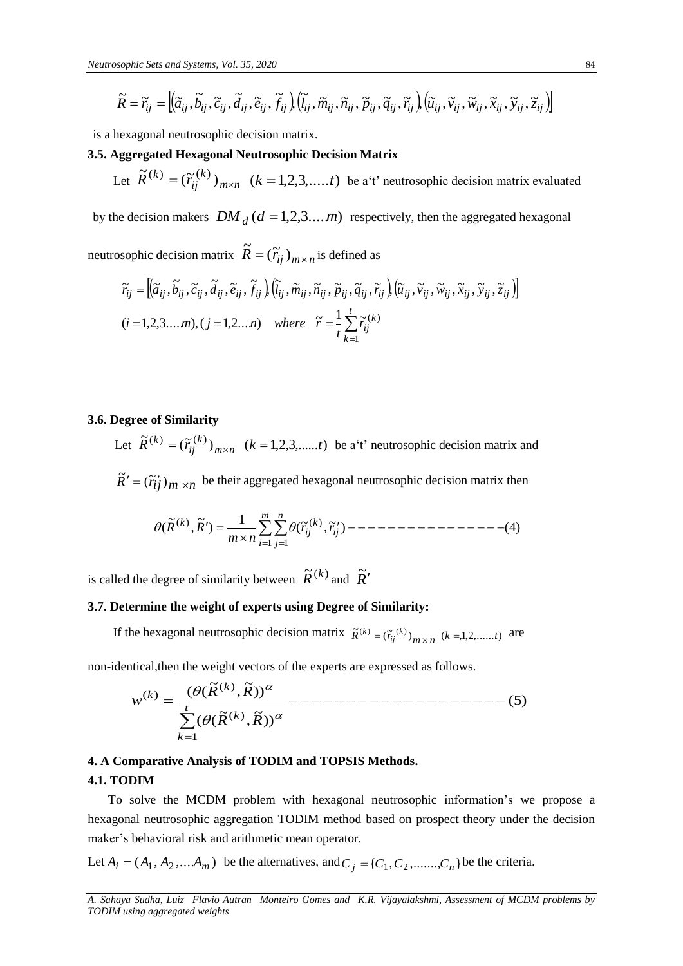$$
\widetilde{R} = \widetilde{r}_{ij} = \left[ \left( \widetilde{a}_{ij}, \widetilde{b}_{ij}, \widetilde{c}_{ij}, \widetilde{d}_{ij}, \widetilde{e}_{ij}, \widetilde{f}_{ij} \right) \left( \widetilde{l}_{ij}, \widetilde{m}_{ij}, \widetilde{n}_{ij}, \widetilde{p}_{ij}, \widetilde{q}_{ij}, \widetilde{r}_{ij} \right) \left( \widetilde{u}_{ij}, \widetilde{v}_{ij}, \widetilde{w}_{ij}, \widetilde{x}_{ij}, \widetilde{y}_{ij}, \widetilde{z}_{ij} \right) \right]
$$

is a hexagonal neutrosophic decision matrix.

## **3.5. Aggregated Hexagonal Neutrosophic Decision Matrix**

Let  $R^{(\kappa)} = (\widetilde{r}_{ij}^{(\kappa)})_{m \times n}$ *k*  $\tilde{R}^{(k)} = (\tilde{r}_{ij}^{(k)})_{m \times n}$   $(k = 1, 2, 3, \dots, t)$  be a't' neutrosophic decision matrix evaluated

by the decision makers  $DM_d$  ( $d = 1,2,3...$ *m*) respectively, then the aggregated hexagonal

neutrosophic decision matrix  $\tilde{R} = (\tilde{r}_{ij})_{m \times n}$  is defined as

$$
\widetilde{r}_{ij} = \left[ (\widetilde{a}_{ij}, \widetilde{b}_{ij}, \widetilde{c}_{ij}, \widetilde{d}_{ij}, \widetilde{e}_{ij}, \widetilde{f}_{ij}), (\widetilde{l}_{ij}, \widetilde{m}_{ij}, \widetilde{n}_{ij}, \widetilde{p}_{ij}, \widetilde{q}_{ij}, \widetilde{r}_{ij}), (\widetilde{u}_{ij}, \widetilde{v}_{ij}, \widetilde{w}_{ij}, \widetilde{x}_{ij}, \widetilde{y}_{ij}, \widetilde{z}_{ij}) \right]
$$
  
(*i* = 1,2,3...,*m*), (*j* = 1,2...,*n*) where  $\widetilde{r} = \frac{1}{t} \sum_{k=1}^{t} \widetilde{r}_{ij}^{(k)}$ 

# **3.6. Degree of Similarity**

Let  $\overline{R}^{(k)} = (\widetilde{r}_{ij}^{(k)})_{m \times n}$ *k*  $\tilde{R}^{(k)} = (\tilde{r}_{ij}^{(k)})_{m \times n}$   $(k = 1, 2, 3, \dots, t)$  be a't' neutrosophic decision matrix and  $\tilde{R}' = (\tilde{r}_{ij})_{m \times n}$  be their aggregated hexagonal neutrosophic decision matrix then

$$
\theta(\widetilde{R}^{(k)},\widetilde{R}')=\frac{1}{m \times n} \sum_{i=1}^{m} \sum_{j=1}^{n} \theta(\widetilde{r}_{ij}^{(k)},\widetilde{r}_{ij}')
$$
----- (4)

is called the degree of similarity between  $\widetilde{R}^{(k)}$  and  $\widetilde{R}'$ 

# **3.7. Determine the weight of experts using Degree of Similarity:**

If the hexagonal neutrosophic decision matrix  $\tilde{R}^{(k)} = (\tilde{r}_{ij}^{(k)})_{m \times n}$  ( $k = 1, 2, \dots, t$ ) are

non-identical,then the weight vectors of the experts are expressed as follows.

$$
w^{(k)} = \frac{(\theta(\widetilde{R}^{(k)}, \widetilde{R}))^{\alpha}}{\sum_{k=1}^{t} (\theta(\widetilde{R}^{(k)}, \widetilde{R}))^{\alpha}} \text{---}
$$

# **4. A Comparative Analysis of TODIM and TOPSIS Methods.**

**4.1. TODIM** 

 To solve the MCDM problem with hexagonal neutrosophic information's we propose a hexagonal neutrosophic aggregation TODIM method based on prospect theory under the decision maker's behavioral risk and arithmetic mean operator.

Let  $A_i = (A_1, A_2, \dots, A_m)$  be the alternatives, and  $C_j = \{C_1, C_2, \dots, C_n\}$  be the criteria.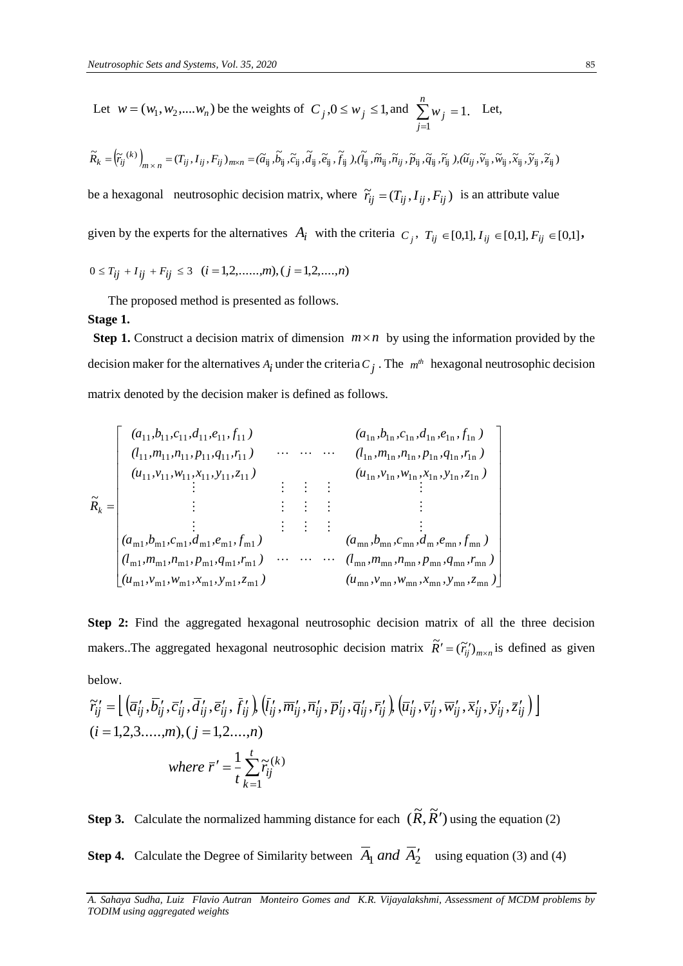Let 
$$
w = (w_1, w_2, ..., w_n)
$$
 be the weights of  $C_j, 0 \le w_j \le 1$ , and  $\sum_{j=1}^n w_j = 1$ . Let,

$$
\widetilde{R}_k = \left(\widetilde{r}_{ij}^{(k)}\right)_{m \times n} = (T_{ij}, I_{ij}, F_{ij})_{m \times n} = (\widetilde{a}_{ij}, \widetilde{b}_{ij}, \widetilde{c}_{ij}, \widetilde{d}_{ij}, \widetilde{e}_{ij}, \widetilde{f}_{ij}), (\widetilde{l}_{ij}, \widetilde{m}_{ij}, \widetilde{n}_{ij}, \widetilde{p}_{ij}, \widetilde{q}_{ij}, \widetilde{r}_{ij}), (\widetilde{u}_{ij}, \widetilde{v}_{ij}, \widetilde{w}_{ij}, \widetilde{x}_{ij}, \widetilde{y}_{ij}, \widetilde{z}_{ij})
$$

be a hexagonal neutrosophic decision matrix, where  $\tilde{r}_{ij} = (T_{ij}, I_{ij}, F_{ij})$  is an attribute value

given by the experts for the alternatives  $A_i$  with the criteria  $C_j$ ,  $T_{ij} \in [0,1], T_{ij} \in [0,1], F_{ij} \in [0,1]$ ,

$$
0 \leq T_{ij} + I_{ij} + F_{ij} \leq 3 \quad (i = 1, 2, \dots, m), (j = 1, 2, \dots, n)
$$

The proposed method is presented as follows.

#### **Stage 1.**

**Step 1.** Construct a decision matrix of dimension  $m \times n$  by using the information provided by the decision maker for the alternatives  $A_i$  under the criteria  $C_j$ . The  $m^h$  hexagonal neutrosophic decision matrix denoted by the decision maker is defined as follows.

$$
\tilde{R}_{k} = \begin{bmatrix}\n(a_{11}, b_{11}, c_{11}, d_{11}, e_{11}, f_{11}) & (a_{1n}, b_{1n}, c_{1n}, d_{1n}, e_{1n}, f_{1n}) \\
(l_{11}, m_{11}, n_{11}, p_{11}, q_{11}, r_{11}) & \cdots & \cdots & (l_{1n}, m_{1n}, n_{1n}, p_{1n}, q_{1n}, r_{1n}) \\
(u_{11}, v_{11}, w_{11}, x_{11}, y_{11}, z_{11}) & \vdots & \vdots & \vdots & \vdots \\
(a_{m1}, b_{m1}, c_{m1}, d_{m1}, e_{m1}, f_{m1}) & \vdots & \vdots & \vdots & \vdots \\
(d_{m1}, m_{m1}, n_{m1}, p_{m1}, q_{m1}, r_{m1}) & \cdots & \cdots & (l_{mn}, b_{mn}, c_{mn}, d_m, e_{mn}, f_{mn}) \\
(u_{m1}, v_{m1}, w_{m1}, x_{m1}, y_{m1}, z_{m1}) & (u_{mn}, v_{mn}, w_{mn}, w_{mn}, y_{mn}, z_{mn})\n\end{bmatrix}
$$

**Step 2:** Find the aggregated hexagonal neutrosophic decision matrix of all the three decision makers. The aggregated hexagonal neutrosophic decision matrix  $\tilde{R}' = (\tilde{r}'_i)_{m \times n}$  is defined as given below.

$$
\widetilde{r}_{ij}^{\prime} = \left[ \left( \overline{a}_{ij}^{\prime}, \overline{b}_{ij}^{\prime}, \overline{c}_{ij}^{\prime}, \overline{d}_{ij}^{\prime}, \overline{e}_{ij}^{\prime}, \overline{f}_{ij}^{\prime} \right) \left( \overline{l}_{ij}^{\prime}, \overline{m}_{ij}^{\prime}, \overline{n}_{ij}^{\prime}, \overline{p}_{ij}^{\prime}, \overline{q}_{ij}^{\prime}, \overline{r}_{ij}^{\prime} \right) \left( \overline{u}_{ij}^{\prime}, \overline{v}_{ij}^{\prime}, \overline{w}_{ij}^{\prime}, \overline{x}_{ij}^{\prime}, \overline{y}_{ij}^{\prime}, \overline{z}_{ij}^{\prime} \right) \right]
$$
\n
$$
(i = 1, 2, 3, \dots, m), (j = 1, 2, \dots, n)
$$
\nwhere  $\overline{r}^{\prime} = \frac{1}{t} \sum_{k=1}^{t} \widetilde{r}_{ij}^{(k)}$ 

**Step 3.** Calculate the normalized hamming distance for each  $(\widetilde{R}, \widetilde{R}')$  using the equation (2)

**Step 4.** Calculate the Degree of Similarity between  $\overline{A}_1$  and  $\overline{A}_2'$  using equation (3) and (4)

*A. Sahaya Sudha, Luiz Flavio Autran Monteiro Gomes and K.R. Vijayalakshmi, Assessment of MCDM problems by TODIM using aggregated weights*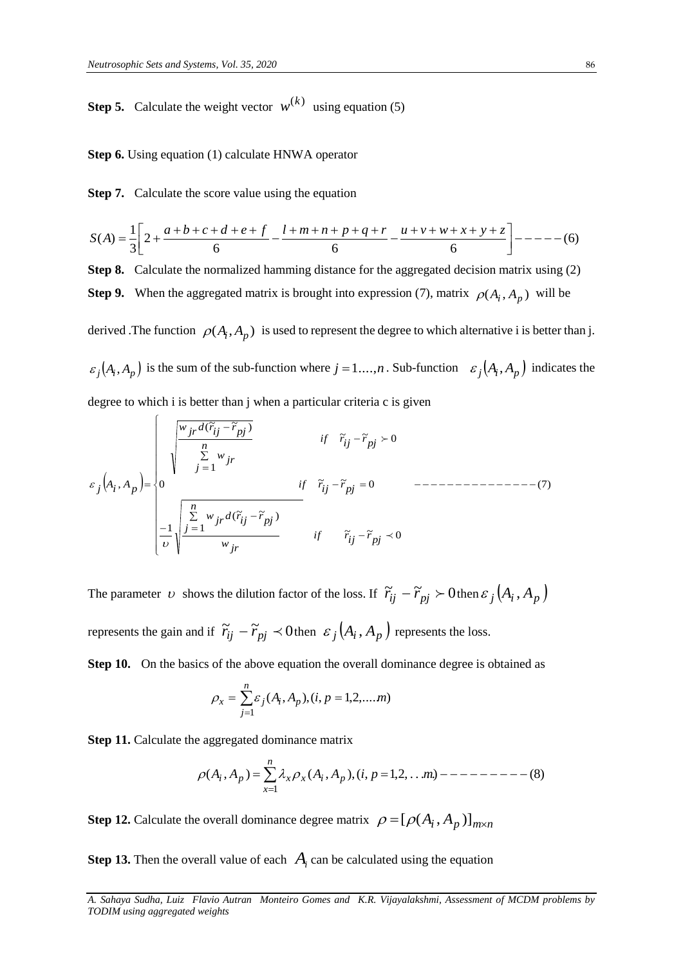**Step 5.** Calculate the weight vector  $w^{(k)}$  using equation (5)

### **Step 6.** Using equation (1) calculate HNWA operator

**Step 7.** Calculate the score value using the equation

$$
S(A) = \frac{1}{3} \left[ 2 + \frac{a+b+c+d+e+f}{6} - \frac{l+m+n+p+q+r}{6} - \frac{u+v+w+x+y+z}{6} \right] - \cdots - (6)
$$

**Step 8.** Calculate the normalized hamming distance for the aggregated decision matrix using (2)

**Step 9.** When the aggregated matrix is brought into expression (7), matrix  $\rho(A_i, A_p)$  will be

derived .The function  $\rho(A_i, A_p)$  is used to represent the degree to which alternative i is better than j.  $\epsilon_j(A_i, A_p)$  is the sum of the sub-function where  $j = 1,...,n$ . Sub-function  $\epsilon_j(A_i, A_p)$  indicates the degree to which i is better than j when a particular criteria c is given  $\int \frac{w_{jr} d(\tilde{r}_{ij} - \tilde{r}_{pj})}{n}$  if  $\tilde{r}_{ij} - \tilde$ degree to which i is better than j when a particular criteria c is given

$$
\varepsilon_{j}(A_{i}, A_{p})
$$
 is the sum of the sub-function where  $j = 1, ..., n$ . Sub-function  $\varepsilon_{j}(A_{i}, A_{p})$  find  
\ndegree to which i is better than j when a particular criteria c is given  
\n
$$
\varepsilon_{j}(A_{i}, A_{p}) =\begin{cases}\n\frac{w_{jr}d(\tilde{r}_{ij} - \tilde{r}_{pj})}{\frac{n}{j}} & \text{if } \tilde{r}_{ij} - \tilde{r}_{pj} > 0 \\
0 & \text{if } \tilde{r}_{ij} - \tilde{r}_{pj} = 0 \\
\frac{1}{\nu}\sqrt{\frac{\sum_{j=1}^{n} w_{jr}d(\tilde{r}_{ij} - \tilde{r}_{pj})}{w_{jr}}} & \text{if } \tilde{r}_{ij} - \tilde{r}_{pj} \prec 0\n\end{cases}
$$

The parameter v shows the dilution factor of the loss. If  $\tilde{r}_{ij} - \tilde{r}_{pj} > 0$  then  $\varepsilon_j(A_i, A_p)$ represents the gain and if  $\widetilde{r}_{ij} - \widetilde{r}_{pj} \prec 0$  then  $\epsilon_j(A_i, A_p)$  represents the loss.

**Step 10.** On the basics of the above equation the overall dominance degree is obtained as

$$
\rho_x = \sum_{j=1}^n \varepsilon_j(A_i, A_p), (i, p = 1, 2, \dots, m)
$$

**Step 11.** Calculate the aggregated dominance matrix

$$
\rho(A_i, A_p) = \sum_{x=1}^n \lambda_x \rho_x(A_i, A_p), (i, p = 1, 2, \dots m) \quad \text{---} \quad (8)
$$

**Step 12.** Calculate the overall dominance degree matrix  $\rho = [\rho(A_i, A_p)]_{m \times n}$ 

**Step 13.** Then the overall value of each  $A_i$  can be calculated using the equation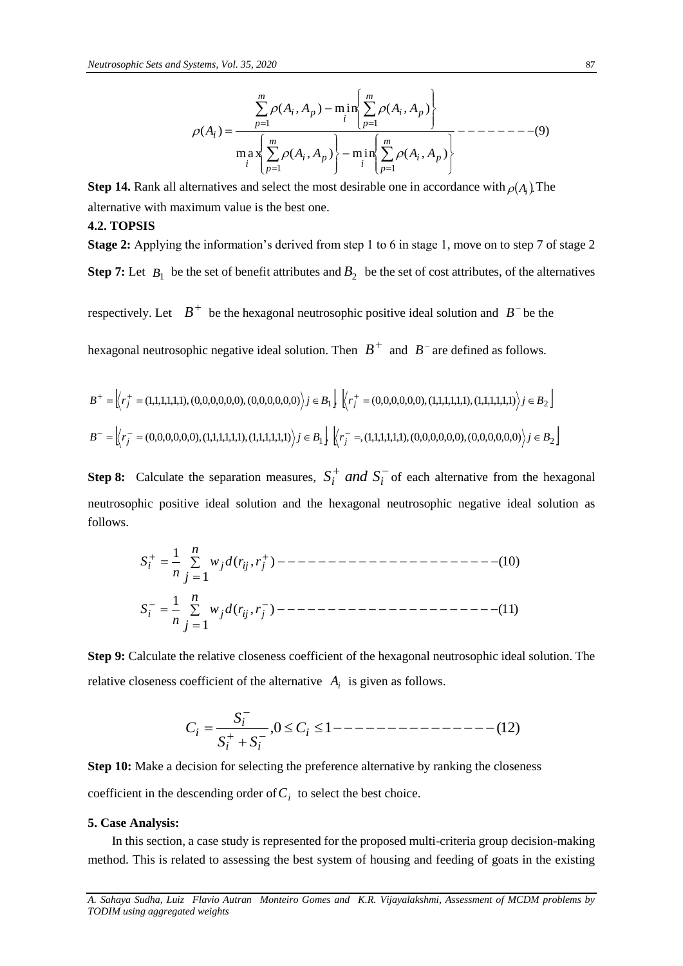(9) max ( , ) min ( , ) ( , ) min ( , ) ( ) 1 1 1 1 *m p i p i m p i p i m p i p i m p i p i A A A A A A A A A* 

**Step 14.** Rank all alternatives and select the most desirable one in accordance with  $\rho(A_i)$ . The alternative with maximum value is the best one.

#### **4.2. TOPSIS**

**Stage 2:** Applying the information's derived from step 1 to 6 in stage 1, move on to step 7 of stage 2 **Step 7:** Let  $B_1$  be the set of benefit attributes and  $B_2$  be the set of cost attributes, of the alternatives

respectively. Let  $B^+$  be the hexagonal neutrosophic positive ideal solution and  $B^-$  be the

hexagonal neutrosophic negative ideal solution. Then  $B^+$  and  $B^-$  are defined as follows.

$$
B^{+} = \left\langle r_{j}^{+} = (1,1,1,1,1,1), (0,0,0,0,0,0), (0,0,0,0,0,0) \right\rangle j \in B_{1} \right\} \cdot \left\langle r_{j}^{+} = (0,0,0,0,0,0), (1,1,1,1,1,1), (1,1,1,1,1,1) \right\rangle j \in B_{2} \right\}
$$

$$
B^{-} = \left\langle r_{j}^{-} = (0,0,0,0,0,0), (1,1,1,1,1,1), (1,1,1,1,1,1) \right\rangle j \in B_{1} \left\{ \left\langle r_{j}^{-} = (1,1,1,1,1,1), (0,0,0,0,0,0), (0,0,0,0,0,0) \right\rangle j \in B_{2} \right\}
$$

**Step 8:** Calculate the separation measures,  $S_i^+$  *and*  $S_i^-$  of each alternative from the hexagonal neutrosophic positive ideal solution and the hexagonal neutrosophic negative ideal solution as follows.

, ) (11) 1 ( 1 , ) (10) 1 ( 1 *i j ij j i j ij j r n j w d r n S r n j w d r n S*

**Step 9:** Calculate the relative closeness coefficient of the hexagonal neutrosophic ideal solution. The relative closeness coefficient of the alternative  $A_i$  is given as follows.

$$
C_i = \frac{S_i^-}{S_i^+ + S_i^-}, 0 \le C_i \le 1 --- \text{---} --- \text{---} --- (12)
$$

**Step 10:** Make a decision for selecting the preference alternative by ranking the closeness coefficient in the descending order of  $C<sub>i</sub>$  to select the best choice.

#### **5. Case Analysis:**

In this section, a case study is represented for the proposed multi-criteria group decision-making method. This is related to assessing the best system of housing and feeding of goats in the existing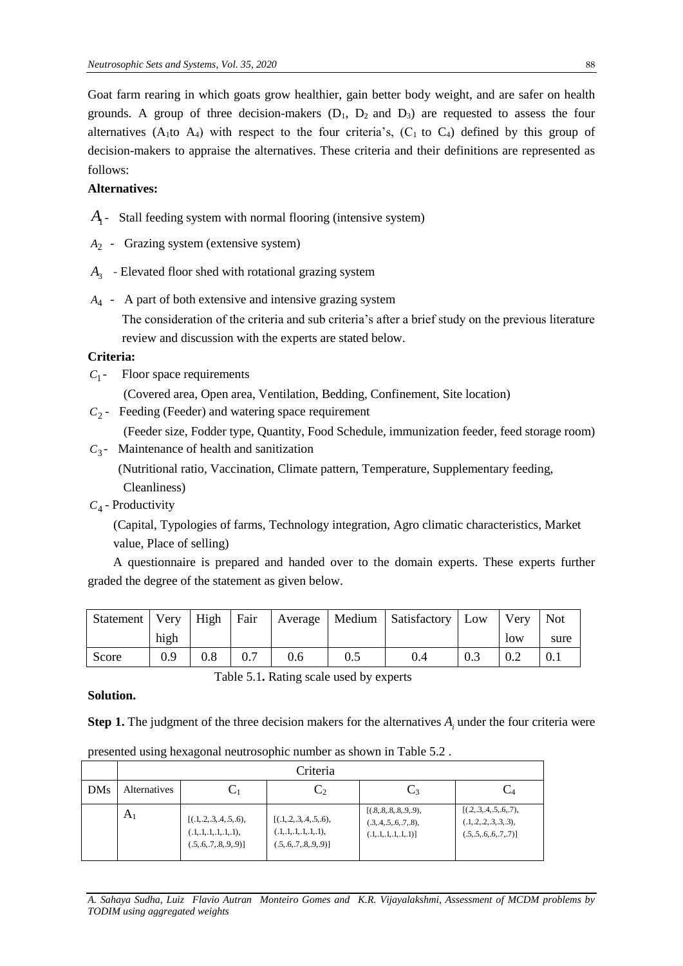Goat farm rearing in which goats grow healthier, gain better body weight, and are safer on health grounds. A group of three decision-makers  $(D_1, D_2, D_3)$  are requested to assess the four alternatives  $(A_1 \text{ to } A_4)$  with respect to the four criteria's,  $(C_1 \text{ to } C_4)$  defined by this group of decision-makers to appraise the alternatives. These criteria and their definitions are represented as follows:

# **Alternatives:**

- *A*1 Stall feeding system with normal flooring (intensive system)
- *A*2 Grazing system (extensive system)
- *A*3 Elevated floor shed with rotational grazing system
- *A*4 A part of both extensive and intensive grazing system The consideration of the criteria and sub criteria's after a brief study on the previous literature review and discussion with the experts are stated below.

# **Criteria:**

*C*1 - Floor space requirements

(Covered area, Open area, Ventilation, Bedding, Confinement, Site location)

 $C_2$ - Feeding (Feeder) and watering space requirement

(Feeder size, Fodder type, Quantity, Food Schedule, immunization feeder, feed storage room)

 $C_3$ - Maintenance of health and sanitization

(Nutritional ratio, Vaccination, Climate pattern, Temperature, Supplementary feeding,

Cleanliness)

*C*4 - Productivity

 (Capital, Typologies of farms, Technology integration, Agro climatic characteristics, Market value, Place of selling)

 A questionnaire is prepared and handed over to the domain experts. These experts further graded the degree of the statement as given below.

| Statement   Very |      | High     | Fair |     |     | Average   Medium   Satisfactory   Low |     | Very | Not  |
|------------------|------|----------|------|-----|-----|---------------------------------------|-----|------|------|
|                  | high |          |      |     |     |                                       |     | low  | sure |
| Score            | 0.9  | $_{0.8}$ |      | 0.6 | 0.5 | 0.4                                   | 0.3 | 0.2  | 0.1  |

Table 5.1**.** Rating scale used by experts

**Solution.**

**Step 1.** The judgment of the three decision makers for the alternatives  $A_i$  under the four criteria were

|            | Criteria            |                                                                                      |                                                                                      |                                                                                     |                                                                                          |  |  |  |  |  |
|------------|---------------------|--------------------------------------------------------------------------------------|--------------------------------------------------------------------------------------|-------------------------------------------------------------------------------------|------------------------------------------------------------------------------------------|--|--|--|--|--|
| <b>DMs</b> | <b>Alternatives</b> | $C_1$                                                                                | $\mathrm{C}_2$                                                                       | $C_3$                                                                               |                                                                                          |  |  |  |  |  |
|            | A <sub>1</sub>      | [(.1, .2, .3, .4, .5, .6),<br>(.1, .1, .1, .1, .1, .1),<br>(.5, .6, .7, .8, .9, .9)] | [(.1, .2, .3, .4, .5, .6),<br>(.1, .1, .1, .1, .1, .1),<br>(.5, .6, .7, .8, .9, .9)] | [(.8, .8, .8, .8, .9, .9),<br>(.3, .4, .5, .6, .7, .8),<br>(.1, .1, .1, .1, .1, .1) | [(.2, .3, .4, .5, .6, .7),<br>$(0.1, 0.2, 0.3, 0.3, 0.3)$ ,<br>(.5, .5, .6, .6, .7, .7)] |  |  |  |  |  |

presented using hexagonal neutrosophic number as shown in Table 5.2 .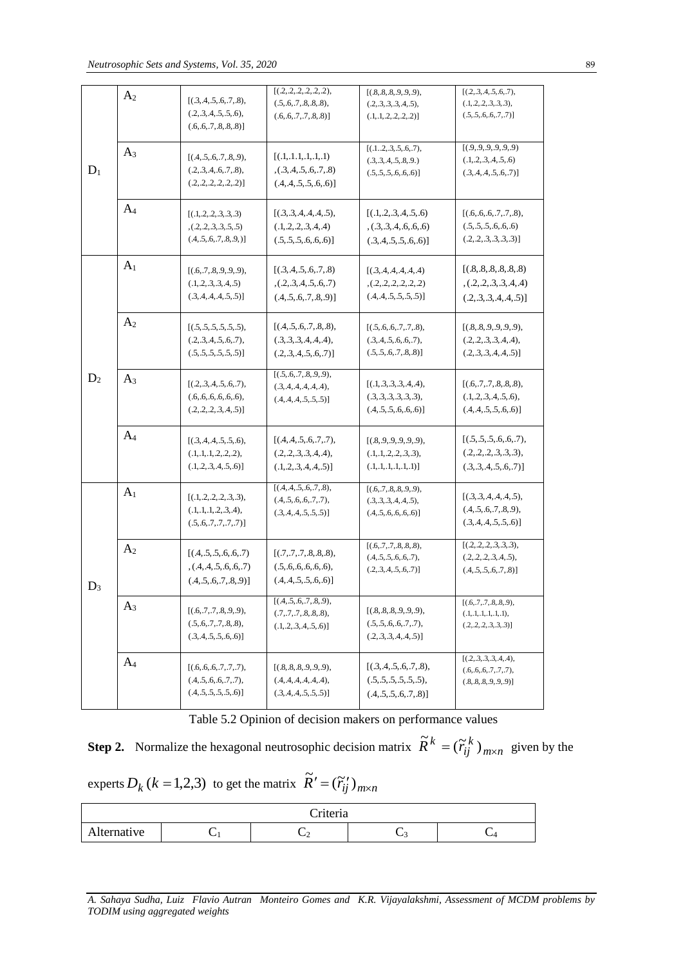|       | A <sub>2</sub>                                                                                | [(.3, .4, .5, .6, .7, .8),<br>(.2, .3, .4, .5, .5, .6),<br>(.6, .6, .7, .8, .8, .8)]     | [(.2, .2, .2, .2, .2, .2),<br>(.5, .6, .7, .8, .8, .8),<br>(.6, .6, .7, .7, .8, .8)]        | [(.8, .8, .8, .9, .9, .9),<br>(.2, .3, .3, .3, .4, .5),<br>$(.1, .1, .2, .2, .2, .2)$ ] | [(.2, .3, .4, .5, .6, .7),<br>(.1, .2, .2, .3, .3, .3),<br>(.5, .5, .6, .6, .7, .7)]          |
|-------|-----------------------------------------------------------------------------------------------|------------------------------------------------------------------------------------------|---------------------------------------------------------------------------------------------|-----------------------------------------------------------------------------------------|-----------------------------------------------------------------------------------------------|
| $D_1$ | $A_3$                                                                                         | [(.4, .5, .6, .7, .8, .9),<br>(.2, .3, .4, .6, .7, .8),<br>(.2, .2, .2, .2, .2, .2)]     | [(.1, .1.1, .1, .1, .1, .1)]<br>(0.3, 0.4, 0.5, 0.6, 0.7, 0.8)<br>(.4, .4, .5, .5, .6, .6)] | [(.12,.3,.5,.6,.7),<br>(.3, .3, .4, .5, .8, .9.)<br>(.5, .5, .5, .6, .6, .6)]           | [(.9, .9, .9, .9, .9, .9, .9)]<br>(.1, 2, .3, 4, .5, .6)<br>(.3, .4, .4, .5, .6, .7)]         |
|       | $A_4$                                                                                         | [(.1, .2, .2, .3, .3, .3)]<br>(0.2, 0.2, 0.3, 0.5, 0.5)<br>(.4, .5, .6, .7, .8, .9, )    | [(.3, .3, .4, .4, .4, .5),<br>(.1, .2, .2, .3, .4, .4)<br>(.5, .5, .5, .6, .6, .6)]         | [(1, 2, 3, 4, 5, 6)]<br>(0.3, 0.3, 0.4, 0.6, 0.6)<br>(.3, .4, .5, .5, .6, .6)]          | [(.6, .6, .6, .7, .7, .8),]<br>(.5, .5, .5, .6, .6, .6)<br>(.2, .2, .3, .3, .3, .3)]          |
|       | A <sub>1</sub>                                                                                | [(.6, .7, .8, .9, .9, .9),<br>(.1, 2, .3, .3, .4, .5)<br>(.3, .4, .4, .4, .5, .5)]       | [(.3, .4, .5, .6, .7, .8)]<br>(0.2, 0.3, 0.4, 0.5, 0.6, 0.7)<br>(.4, .5, .6, .7, .8, .9)]   | [(3,4,4,4,4,4,4)]<br>(0.2, 0.2, 0.2, 0.2, 0.2)<br>(.4, .4, .5, .5, .5, .5)]             | [(.8, .8, .8, .8, .8, .8)]<br>(0.2, 0.2, 0.3, 0.4, 0.4)<br>(.2, .3, .3, .4, .4, .5)]          |
|       | A <sub>2</sub>                                                                                | [(.5, .5, .5, .5, .5, .5),<br>(.2, .3, .4, .5, .6, .7),<br>(.5, .5, .5, .5, .5, .5)]     | [(.4, .5, .6, .7, .8, .8),<br>(.3, .3, .3, .4, .4, .4),<br>(.2, .3, .4, .5, .6, .7)]        | [(.5, .6, .6, .7, .7, .8),]<br>(.3, .4, .5, .6, .6, .7),<br>(.5, .5, .6, .7, .8, .8)]   | [(.8, .8, .9, .9, .9, .9),<br>(.2, .2, .3, .3, .4, .4),<br>(.2, .3, .3, .4, .4, .5)]          |
| $D_2$ | $A_3$<br>[(.2, .3, .4, .5, .6, .7),<br>(.6, .6, .6, .6, .6, .6),<br>(.2, .2, .2, .3, .4, .5)] |                                                                                          | [(.5, .6, .7, .8, .9, .9),<br>(.3, .4, .4, .4, .4, .4),<br>(.4, .4, .4, .5, .5, .5)]        | [(.1, .3, .3, .3, .4, .4),<br>(.3, .3, .3, .3, .3, .3),<br>(.4, .5, .5, .6, .6, .6)]    | [(.6, .7, .7, .8, .8, .8),<br>$(0.1, 0.2, 0.3, 0.4, 0.5, 0.6)$ ,<br>(.4, .4, .5, .5, .6, .6)] |
|       | A <sub>4</sub>                                                                                | [(.3, .4, .4, .5, .5, .6),<br>(.1, .1, .1, .2, .2, .2),<br>(.1, 2, .3, .4, .5, .6)]      | [(.4, .4, .5, .6, .7, .7),<br>(.2, .2, .3, .3, .4, .4),<br>(.1, 2, .3, .4, .4, .5)]         | [(.8, .9, .9, .9, .9, .9),<br>(.1, .1, .2, .2, .3, .3),<br>$(.1, .1, .1, .1, .1, .1)$ ] | [(.5, .5, .5, .6, .6, .7),<br>(.2, .2, .2, .3, .3, .3),<br>(.3, .3, .4, .5, .6, .7)]          |
|       | A <sub>1</sub>                                                                                | [(.1, .2, .2, .2, .3, .3),<br>(.1, .1, .1, .2, .3, .4),<br>(.5, .6, .7, .7, .7, .7)]     | [(.4, .4, .5, .6, .7, .8),<br>(.4, .5, .6, .6, .7, .7),<br>(.3, .4, .4, .5, .5, .5)]        | [(.6, .7, .8, .8, .9, .9),<br>(.3, .3, .3, .4, .4, .5),<br>(.4, .5, .6, .6, .6, .6)]    | [(.3, .3, .4, .4, .4, .5),<br>(0.4, 0.5, 0.6, 0.7, 0.8, 0.9)<br>(.3, .4, .4, .5, .5, .6)]     |
| $D_3$ | A <sub>2</sub>                                                                                | [(.4, .5, .5, .6, .6, .7)]<br>(0.4, 0.4, 0.5, 0.6, 0.7)<br>(.4, .5, .6, .7, .8, .9)]     | [(.7, .7, .7, .8, .8, .8),]<br>$(.5, .6, .6, .6, .6, .6)$ ,<br>(.4, .4, .5, .5, .6, .6)]    | [(.6, .7, .7, .8, .8, .8),<br>(.4, .5, .5, .6, .6, .7),<br>(.2, .3, .4, .5, .6, .7)]    | [(.2, .2, .2, .3, .3, .3),<br>(.2, .2, .2, .3, .4, .5),<br>(.4, .5, .5, .6, .7, .8)]          |
|       | $A_3$                                                                                         | [(.6, .7, .7, .8, .9, .9),<br>(.5, .6, .7, .7, .8, .8),<br>(.3, 4, .5, .5, .6, .6)]      | [(.4, .5, .6, .7, .8, .9),<br>(.7, .7, .7, .8, .8, .8),<br>(.1, .2, .3, .4, .5, .6)]        | [(.8, .8, .8, .9, .9, .9),<br>(.5, .5, .6, .6, .7, .7),<br>(.2, .3, .3, .4, .4, .5)]    | [(.6, .7, .7, .8, .8, .9),<br>(.1, .1, .1, .1, .1, .1),<br>(.2, .2, .2, .3, .3, .3)]          |
|       | $A_4$                                                                                         | [(.6, .6, .6, .7, .7, .7),<br>$(0.4, 0.5, 0.6, 0.7, 0.7)$ ,<br>(.4, .5, .5, .5, .5, .6)] | [(.8, .8, .8, .9, .9, .9),<br>(A, A, A, A, A, A, A),<br>(.3, .4, .4, .5, .5, .5)]           | [(.3, .4, .5, .6, .7, .8),<br>(.5, .5, .5, .5, .5, .5),<br>(.4, .5, .5, .6, .7, .8)]    | [(2,3,3,3,3,4,4),<br>(.6, .6, .6, .7, .7, .7),<br>(.8, .8, .8, .9, .9, .9)]                   |

Table 5.2 Opinion of decision makers on performance values

**Step 2.** Normalize the hexagonal neutrosophic decision matrix  $R^{\kappa} = (\widetilde{r}_{ij}^{\kappa})_{m \times n}$ *k*  $\widetilde{R}^k = (\widetilde{r}_{ij}^k)_{m \times n}$  given by the

exports 
$$
D_k
$$
 ( $k = 1,2,3$ ) to get the matrix  $\widetilde{R}' = (\widetilde{r}_{ij}')_{m \times n}$ 

| <sup>-</sup> riteria |  |        |     |  |  |  |  |  |
|----------------------|--|--------|-----|--|--|--|--|--|
| Alternative          |  | ั<br>∼ | . . |  |  |  |  |  |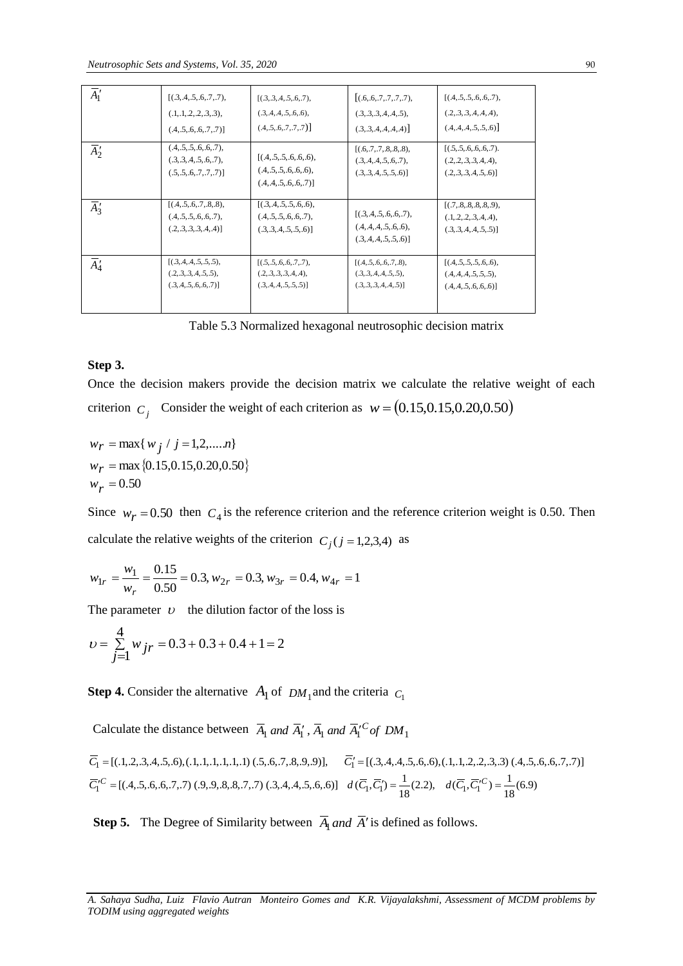| $\overline{A_1}'$<br>[(3,4,5,6,7,7),<br>[(.6, .6, .7, .7, .7, .7),<br>[(.4, .5, .5, .6, .6, .7),<br>$[(3,3,4,5,6,7),$<br>(.3, .4, .4, .5, .6, .6),<br>(.1, .1, .2, .2, .3, .3),<br>(.2, .3, .3, .4, .4, .4),<br>(.3, .3, .3, .4, .4, .5),<br>(.4, .5, .6, .7, .7, .7)]<br>(.4, .4, .4, .5, .5, .6)<br>(.3, .3, .4, .4, .4, .4)<br>(.4, .5, .6, .6, .7, .7)]<br>(.4, .5, .5, .6, .6, .7),<br>[(.5, .5, .6, .6, .6, .7).<br>[(.6, .7, .7, .8, .8, .8),<br>$\overline{A}_2'$<br>[(.4, .5, .5, .6, .6, .6),<br>(.3, .3, .4, .5, .6, .7),<br>(.3, .4, .4, .5, .6, .7),<br>(.2, .2, .3, .3, .4, .4),<br>$(0.4, 0.5, 0.5, 0.6, 0.6)$ ,<br>(.5, .5, .6, .7, .7, .7)]<br>(.3, .3, .4, .5, .5, .6)]<br>(.2, .3, .3, .4, .5, .6)]<br>(.4, .4, .5, .6, .6, .7)]<br>[(3,4,5,5,5,6,6),<br>[(.4, .5, .6, .7, .8, .8),<br>$\overline{A}'_3$<br>[(.7, .8, .8, .8, .8, .9),<br>[(.3, .4, .5, .6, .6, .7),<br>(.4, .5, .5, .6, .6, .7),<br>(.4, .5, .5, .6, .6, .7),<br>(.1, .2, .2, .3, .4, .4),<br>(.4, .4, .4, .5, .6, .6),<br>(.2, .3, .3, .3, .4, .4)]<br>(.3, .3, .4, .5, .5, .6)]<br>(.3, .3, .4, .4, .5, .5)]<br>(.3, .4, .4, .5, .5, .6)]<br>[(.3, .4, .4, .5, .5, .5),<br>[(.5, .5, .6, .6, .7, .7),<br>[(.4, .5, .6, .6, .7, .8),<br>[(.4, .5, .5, .5, .6, .6),<br>$\overline{A}'_4$<br>(.2, .3, .3, .4, .5, .5),<br>(.2, .3, .3, .3, .4, .4),<br>(.3, .3, .4, .4, .5, .5),<br>$(0.4, 0.4, 0.5, 0.5, 0.5)$ ,<br>(.3, .4, .5, .6, .6, .7)]<br>(.3, .4, .4, .5, .5, .5)]<br>(.3, .3, .3, .4, .4, .5)]<br>(.4, .4, .5, .6, .6, .6)]<br>Table 5.3 Normalized hexagonal neutrosophic decision matrix<br>Step 3.<br>Once the decision makers provide the decision matrix we calculate the relative wei<br>criterion $C_i$ Consider the weight of each criterion as $w = (0.15, 0.15, 0.20, 0.50)$<br>$w_r = \max\{w_j / j = 1, 2, , n\}$<br>$w_r = \max\{0.15, 0.15, 0.20, 0.50\}$<br>$W_r = 0.50$<br>Since $w_r = 0.50$ then $C_4$ is the reference criterion and the reference criterion weight is<br>calculate the relative weights of the criterion $C_i$ ( $j = 1,2,3,4$ ) as<br>$w_{1r} = \frac{w_1}{w_r} = \frac{0.15}{0.50} = 0.3, w_{2r} = 0.3, w_{3r} = 0.4, w_{4r} = 1$<br>The parameter $\upsilon$ the dilution factor of the loss is<br>$v = \sum_{j=1}^{4} w_{jr} = 0.3 + 0.3 + 0.4 + 1 = 2$<br><b>Step 4.</b> Consider the alternative $A_1$ of $DM_1$ and the criteria $C_1$<br>Calculate the distance between $\overline{A}_1$ and $\overline{A}_1'$ , $\overline{A}_1$ and $\overline{A}_1'{}^C$ of DM <sub>1</sub><br>$\overline{C}_1 = [(1, 2, 3, 4, 5, 6), (1, 1, 1, 1, 1, 1, 1, 1), (5, 6, 7, 8, 9, 9)],$ $\overline{C}_1' = [(3, 4, 4, 4, 5, 6, 6), (1, 1, 2, 2, 3, 3), (4, 5, 6, 7, 7), (5, 9, 8, 8, 7, 7), (3, 4, 4, 5, 6, 6)]$ $d(\overline{C}_1, \overline{C}_1') = \frac{1}{18}(2.2),$ $d(\overline{C}_1, \overline{C$<br>The Degree of Similarity between $\overline{A}_1$ and $\overline{A}'$ is defined as follows.<br>Step 5.<br>A. Sahaya Sudha, Luiz Flavio Autran Monteiro Gomes and K.R. Vijayalakshmi, Assessment of MCDM<br>TODIM using aggregated weights |  |  |  |
|------------------------------------------------------------------------------------------------------------------------------------------------------------------------------------------------------------------------------------------------------------------------------------------------------------------------------------------------------------------------------------------------------------------------------------------------------------------------------------------------------------------------------------------------------------------------------------------------------------------------------------------------------------------------------------------------------------------------------------------------------------------------------------------------------------------------------------------------------------------------------------------------------------------------------------------------------------------------------------------------------------------------------------------------------------------------------------------------------------------------------------------------------------------------------------------------------------------------------------------------------------------------------------------------------------------------------------------------------------------------------------------------------------------------------------------------------------------------------------------------------------------------------------------------------------------------------------------------------------------------------------------------------------------------------------------------------------------------------------------------------------------------------------------------------------------------------------------------------------------------------------------------------------------------------------------------------------------------------------------------------------------------------------------------------------------------------------------------------------------------------------------------------------------------------------------------------------------------------------------------------------------------------------------------------------------------------------------------------------------------------------------------------------------------------------------------------------------------------------------------------------------------------------------------------------------------------------------------------------------------------------------------------------------------------------------------------------------------------------------------------------------------------------------------------------------------------------------------------------------------------------------------------------------------------------------------------------------------------------------------------------------------------------------------------------------------------------|--|--|--|
|                                                                                                                                                                                                                                                                                                                                                                                                                                                                                                                                                                                                                                                                                                                                                                                                                                                                                                                                                                                                                                                                                                                                                                                                                                                                                                                                                                                                                                                                                                                                                                                                                                                                                                                                                                                                                                                                                                                                                                                                                                                                                                                                                                                                                                                                                                                                                                                                                                                                                                                                                                                                                                                                                                                                                                                                                                                                                                                                                                                                                                                                                    |  |  |  |
|                                                                                                                                                                                                                                                                                                                                                                                                                                                                                                                                                                                                                                                                                                                                                                                                                                                                                                                                                                                                                                                                                                                                                                                                                                                                                                                                                                                                                                                                                                                                                                                                                                                                                                                                                                                                                                                                                                                                                                                                                                                                                                                                                                                                                                                                                                                                                                                                                                                                                                                                                                                                                                                                                                                                                                                                                                                                                                                                                                                                                                                                                    |  |  |  |
|                                                                                                                                                                                                                                                                                                                                                                                                                                                                                                                                                                                                                                                                                                                                                                                                                                                                                                                                                                                                                                                                                                                                                                                                                                                                                                                                                                                                                                                                                                                                                                                                                                                                                                                                                                                                                                                                                                                                                                                                                                                                                                                                                                                                                                                                                                                                                                                                                                                                                                                                                                                                                                                                                                                                                                                                                                                                                                                                                                                                                                                                                    |  |  |  |
|                                                                                                                                                                                                                                                                                                                                                                                                                                                                                                                                                                                                                                                                                                                                                                                                                                                                                                                                                                                                                                                                                                                                                                                                                                                                                                                                                                                                                                                                                                                                                                                                                                                                                                                                                                                                                                                                                                                                                                                                                                                                                                                                                                                                                                                                                                                                                                                                                                                                                                                                                                                                                                                                                                                                                                                                                                                                                                                                                                                                                                                                                    |  |  |  |
|                                                                                                                                                                                                                                                                                                                                                                                                                                                                                                                                                                                                                                                                                                                                                                                                                                                                                                                                                                                                                                                                                                                                                                                                                                                                                                                                                                                                                                                                                                                                                                                                                                                                                                                                                                                                                                                                                                                                                                                                                                                                                                                                                                                                                                                                                                                                                                                                                                                                                                                                                                                                                                                                                                                                                                                                                                                                                                                                                                                                                                                                                    |  |  |  |
|                                                                                                                                                                                                                                                                                                                                                                                                                                                                                                                                                                                                                                                                                                                                                                                                                                                                                                                                                                                                                                                                                                                                                                                                                                                                                                                                                                                                                                                                                                                                                                                                                                                                                                                                                                                                                                                                                                                                                                                                                                                                                                                                                                                                                                                                                                                                                                                                                                                                                                                                                                                                                                                                                                                                                                                                                                                                                                                                                                                                                                                                                    |  |  |  |
|                                                                                                                                                                                                                                                                                                                                                                                                                                                                                                                                                                                                                                                                                                                                                                                                                                                                                                                                                                                                                                                                                                                                                                                                                                                                                                                                                                                                                                                                                                                                                                                                                                                                                                                                                                                                                                                                                                                                                                                                                                                                                                                                                                                                                                                                                                                                                                                                                                                                                                                                                                                                                                                                                                                                                                                                                                                                                                                                                                                                                                                                                    |  |  |  |
|                                                                                                                                                                                                                                                                                                                                                                                                                                                                                                                                                                                                                                                                                                                                                                                                                                                                                                                                                                                                                                                                                                                                                                                                                                                                                                                                                                                                                                                                                                                                                                                                                                                                                                                                                                                                                                                                                                                                                                                                                                                                                                                                                                                                                                                                                                                                                                                                                                                                                                                                                                                                                                                                                                                                                                                                                                                                                                                                                                                                                                                                                    |  |  |  |
|                                                                                                                                                                                                                                                                                                                                                                                                                                                                                                                                                                                                                                                                                                                                                                                                                                                                                                                                                                                                                                                                                                                                                                                                                                                                                                                                                                                                                                                                                                                                                                                                                                                                                                                                                                                                                                                                                                                                                                                                                                                                                                                                                                                                                                                                                                                                                                                                                                                                                                                                                                                                                                                                                                                                                                                                                                                                                                                                                                                                                                                                                    |  |  |  |
|                                                                                                                                                                                                                                                                                                                                                                                                                                                                                                                                                                                                                                                                                                                                                                                                                                                                                                                                                                                                                                                                                                                                                                                                                                                                                                                                                                                                                                                                                                                                                                                                                                                                                                                                                                                                                                                                                                                                                                                                                                                                                                                                                                                                                                                                                                                                                                                                                                                                                                                                                                                                                                                                                                                                                                                                                                                                                                                                                                                                                                                                                    |  |  |  |
|                                                                                                                                                                                                                                                                                                                                                                                                                                                                                                                                                                                                                                                                                                                                                                                                                                                                                                                                                                                                                                                                                                                                                                                                                                                                                                                                                                                                                                                                                                                                                                                                                                                                                                                                                                                                                                                                                                                                                                                                                                                                                                                                                                                                                                                                                                                                                                                                                                                                                                                                                                                                                                                                                                                                                                                                                                                                                                                                                                                                                                                                                    |  |  |  |
|                                                                                                                                                                                                                                                                                                                                                                                                                                                                                                                                                                                                                                                                                                                                                                                                                                                                                                                                                                                                                                                                                                                                                                                                                                                                                                                                                                                                                                                                                                                                                                                                                                                                                                                                                                                                                                                                                                                                                                                                                                                                                                                                                                                                                                                                                                                                                                                                                                                                                                                                                                                                                                                                                                                                                                                                                                                                                                                                                                                                                                                                                    |  |  |  |
|                                                                                                                                                                                                                                                                                                                                                                                                                                                                                                                                                                                                                                                                                                                                                                                                                                                                                                                                                                                                                                                                                                                                                                                                                                                                                                                                                                                                                                                                                                                                                                                                                                                                                                                                                                                                                                                                                                                                                                                                                                                                                                                                                                                                                                                                                                                                                                                                                                                                                                                                                                                                                                                                                                                                                                                                                                                                                                                                                                                                                                                                                    |  |  |  |
|                                                                                                                                                                                                                                                                                                                                                                                                                                                                                                                                                                                                                                                                                                                                                                                                                                                                                                                                                                                                                                                                                                                                                                                                                                                                                                                                                                                                                                                                                                                                                                                                                                                                                                                                                                                                                                                                                                                                                                                                                                                                                                                                                                                                                                                                                                                                                                                                                                                                                                                                                                                                                                                                                                                                                                                                                                                                                                                                                                                                                                                                                    |  |  |  |
|                                                                                                                                                                                                                                                                                                                                                                                                                                                                                                                                                                                                                                                                                                                                                                                                                                                                                                                                                                                                                                                                                                                                                                                                                                                                                                                                                                                                                                                                                                                                                                                                                                                                                                                                                                                                                                                                                                                                                                                                                                                                                                                                                                                                                                                                                                                                                                                                                                                                                                                                                                                                                                                                                                                                                                                                                                                                                                                                                                                                                                                                                    |  |  |  |
|                                                                                                                                                                                                                                                                                                                                                                                                                                                                                                                                                                                                                                                                                                                                                                                                                                                                                                                                                                                                                                                                                                                                                                                                                                                                                                                                                                                                                                                                                                                                                                                                                                                                                                                                                                                                                                                                                                                                                                                                                                                                                                                                                                                                                                                                                                                                                                                                                                                                                                                                                                                                                                                                                                                                                                                                                                                                                                                                                                                                                                                                                    |  |  |  |
|                                                                                                                                                                                                                                                                                                                                                                                                                                                                                                                                                                                                                                                                                                                                                                                                                                                                                                                                                                                                                                                                                                                                                                                                                                                                                                                                                                                                                                                                                                                                                                                                                                                                                                                                                                                                                                                                                                                                                                                                                                                                                                                                                                                                                                                                                                                                                                                                                                                                                                                                                                                                                                                                                                                                                                                                                                                                                                                                                                                                                                                                                    |  |  |  |
|                                                                                                                                                                                                                                                                                                                                                                                                                                                                                                                                                                                                                                                                                                                                                                                                                                                                                                                                                                                                                                                                                                                                                                                                                                                                                                                                                                                                                                                                                                                                                                                                                                                                                                                                                                                                                                                                                                                                                                                                                                                                                                                                                                                                                                                                                                                                                                                                                                                                                                                                                                                                                                                                                                                                                                                                                                                                                                                                                                                                                                                                                    |  |  |  |
|                                                                                                                                                                                                                                                                                                                                                                                                                                                                                                                                                                                                                                                                                                                                                                                                                                                                                                                                                                                                                                                                                                                                                                                                                                                                                                                                                                                                                                                                                                                                                                                                                                                                                                                                                                                                                                                                                                                                                                                                                                                                                                                                                                                                                                                                                                                                                                                                                                                                                                                                                                                                                                                                                                                                                                                                                                                                                                                                                                                                                                                                                    |  |  |  |
|                                                                                                                                                                                                                                                                                                                                                                                                                                                                                                                                                                                                                                                                                                                                                                                                                                                                                                                                                                                                                                                                                                                                                                                                                                                                                                                                                                                                                                                                                                                                                                                                                                                                                                                                                                                                                                                                                                                                                                                                                                                                                                                                                                                                                                                                                                                                                                                                                                                                                                                                                                                                                                                                                                                                                                                                                                                                                                                                                                                                                                                                                    |  |  |  |
|                                                                                                                                                                                                                                                                                                                                                                                                                                                                                                                                                                                                                                                                                                                                                                                                                                                                                                                                                                                                                                                                                                                                                                                                                                                                                                                                                                                                                                                                                                                                                                                                                                                                                                                                                                                                                                                                                                                                                                                                                                                                                                                                                                                                                                                                                                                                                                                                                                                                                                                                                                                                                                                                                                                                                                                                                                                                                                                                                                                                                                                                                    |  |  |  |
|                                                                                                                                                                                                                                                                                                                                                                                                                                                                                                                                                                                                                                                                                                                                                                                                                                                                                                                                                                                                                                                                                                                                                                                                                                                                                                                                                                                                                                                                                                                                                                                                                                                                                                                                                                                                                                                                                                                                                                                                                                                                                                                                                                                                                                                                                                                                                                                                                                                                                                                                                                                                                                                                                                                                                                                                                                                                                                                                                                                                                                                                                    |  |  |  |
|                                                                                                                                                                                                                                                                                                                                                                                                                                                                                                                                                                                                                                                                                                                                                                                                                                                                                                                                                                                                                                                                                                                                                                                                                                                                                                                                                                                                                                                                                                                                                                                                                                                                                                                                                                                                                                                                                                                                                                                                                                                                                                                                                                                                                                                                                                                                                                                                                                                                                                                                                                                                                                                                                                                                                                                                                                                                                                                                                                                                                                                                                    |  |  |  |
|                                                                                                                                                                                                                                                                                                                                                                                                                                                                                                                                                                                                                                                                                                                                                                                                                                                                                                                                                                                                                                                                                                                                                                                                                                                                                                                                                                                                                                                                                                                                                                                                                                                                                                                                                                                                                                                                                                                                                                                                                                                                                                                                                                                                                                                                                                                                                                                                                                                                                                                                                                                                                                                                                                                                                                                                                                                                                                                                                                                                                                                                                    |  |  |  |
|                                                                                                                                                                                                                                                                                                                                                                                                                                                                                                                                                                                                                                                                                                                                                                                                                                                                                                                                                                                                                                                                                                                                                                                                                                                                                                                                                                                                                                                                                                                                                                                                                                                                                                                                                                                                                                                                                                                                                                                                                                                                                                                                                                                                                                                                                                                                                                                                                                                                                                                                                                                                                                                                                                                                                                                                                                                                                                                                                                                                                                                                                    |  |  |  |
|                                                                                                                                                                                                                                                                                                                                                                                                                                                                                                                                                                                                                                                                                                                                                                                                                                                                                                                                                                                                                                                                                                                                                                                                                                                                                                                                                                                                                                                                                                                                                                                                                                                                                                                                                                                                                                                                                                                                                                                                                                                                                                                                                                                                                                                                                                                                                                                                                                                                                                                                                                                                                                                                                                                                                                                                                                                                                                                                                                                                                                                                                    |  |  |  |
|                                                                                                                                                                                                                                                                                                                                                                                                                                                                                                                                                                                                                                                                                                                                                                                                                                                                                                                                                                                                                                                                                                                                                                                                                                                                                                                                                                                                                                                                                                                                                                                                                                                                                                                                                                                                                                                                                                                                                                                                                                                                                                                                                                                                                                                                                                                                                                                                                                                                                                                                                                                                                                                                                                                                                                                                                                                                                                                                                                                                                                                                                    |  |  |  |
|                                                                                                                                                                                                                                                                                                                                                                                                                                                                                                                                                                                                                                                                                                                                                                                                                                                                                                                                                                                                                                                                                                                                                                                                                                                                                                                                                                                                                                                                                                                                                                                                                                                                                                                                                                                                                                                                                                                                                                                                                                                                                                                                                                                                                                                                                                                                                                                                                                                                                                                                                                                                                                                                                                                                                                                                                                                                                                                                                                                                                                                                                    |  |  |  |
|                                                                                                                                                                                                                                                                                                                                                                                                                                                                                                                                                                                                                                                                                                                                                                                                                                                                                                                                                                                                                                                                                                                                                                                                                                                                                                                                                                                                                                                                                                                                                                                                                                                                                                                                                                                                                                                                                                                                                                                                                                                                                                                                                                                                                                                                                                                                                                                                                                                                                                                                                                                                                                                                                                                                                                                                                                                                                                                                                                                                                                                                                    |  |  |  |
|                                                                                                                                                                                                                                                                                                                                                                                                                                                                                                                                                                                                                                                                                                                                                                                                                                                                                                                                                                                                                                                                                                                                                                                                                                                                                                                                                                                                                                                                                                                                                                                                                                                                                                                                                                                                                                                                                                                                                                                                                                                                                                                                                                                                                                                                                                                                                                                                                                                                                                                                                                                                                                                                                                                                                                                                                                                                                                                                                                                                                                                                                    |  |  |  |
|                                                                                                                                                                                                                                                                                                                                                                                                                                                                                                                                                                                                                                                                                                                                                                                                                                                                                                                                                                                                                                                                                                                                                                                                                                                                                                                                                                                                                                                                                                                                                                                                                                                                                                                                                                                                                                                                                                                                                                                                                                                                                                                                                                                                                                                                                                                                                                                                                                                                                                                                                                                                                                                                                                                                                                                                                                                                                                                                                                                                                                                                                    |  |  |  |
|                                                                                                                                                                                                                                                                                                                                                                                                                                                                                                                                                                                                                                                                                                                                                                                                                                                                                                                                                                                                                                                                                                                                                                                                                                                                                                                                                                                                                                                                                                                                                                                                                                                                                                                                                                                                                                                                                                                                                                                                                                                                                                                                                                                                                                                                                                                                                                                                                                                                                                                                                                                                                                                                                                                                                                                                                                                                                                                                                                                                                                                                                    |  |  |  |
|                                                                                                                                                                                                                                                                                                                                                                                                                                                                                                                                                                                                                                                                                                                                                                                                                                                                                                                                                                                                                                                                                                                                                                                                                                                                                                                                                                                                                                                                                                                                                                                                                                                                                                                                                                                                                                                                                                                                                                                                                                                                                                                                                                                                                                                                                                                                                                                                                                                                                                                                                                                                                                                                                                                                                                                                                                                                                                                                                                                                                                                                                    |  |  |  |
|                                                                                                                                                                                                                                                                                                                                                                                                                                                                                                                                                                                                                                                                                                                                                                                                                                                                                                                                                                                                                                                                                                                                                                                                                                                                                                                                                                                                                                                                                                                                                                                                                                                                                                                                                                                                                                                                                                                                                                                                                                                                                                                                                                                                                                                                                                                                                                                                                                                                                                                                                                                                                                                                                                                                                                                                                                                                                                                                                                                                                                                                                    |  |  |  |
|                                                                                                                                                                                                                                                                                                                                                                                                                                                                                                                                                                                                                                                                                                                                                                                                                                                                                                                                                                                                                                                                                                                                                                                                                                                                                                                                                                                                                                                                                                                                                                                                                                                                                                                                                                                                                                                                                                                                                                                                                                                                                                                                                                                                                                                                                                                                                                                                                                                                                                                                                                                                                                                                                                                                                                                                                                                                                                                                                                                                                                                                                    |  |  |  |
|                                                                                                                                                                                                                                                                                                                                                                                                                                                                                                                                                                                                                                                                                                                                                                                                                                                                                                                                                                                                                                                                                                                                                                                                                                                                                                                                                                                                                                                                                                                                                                                                                                                                                                                                                                                                                                                                                                                                                                                                                                                                                                                                                                                                                                                                                                                                                                                                                                                                                                                                                                                                                                                                                                                                                                                                                                                                                                                                                                                                                                                                                    |  |  |  |
|                                                                                                                                                                                                                                                                                                                                                                                                                                                                                                                                                                                                                                                                                                                                                                                                                                                                                                                                                                                                                                                                                                                                                                                                                                                                                                                                                                                                                                                                                                                                                                                                                                                                                                                                                                                                                                                                                                                                                                                                                                                                                                                                                                                                                                                                                                                                                                                                                                                                                                                                                                                                                                                                                                                                                                                                                                                                                                                                                                                                                                                                                    |  |  |  |
|                                                                                                                                                                                                                                                                                                                                                                                                                                                                                                                                                                                                                                                                                                                                                                                                                                                                                                                                                                                                                                                                                                                                                                                                                                                                                                                                                                                                                                                                                                                                                                                                                                                                                                                                                                                                                                                                                                                                                                                                                                                                                                                                                                                                                                                                                                                                                                                                                                                                                                                                                                                                                                                                                                                                                                                                                                                                                                                                                                                                                                                                                    |  |  |  |
|                                                                                                                                                                                                                                                                                                                                                                                                                                                                                                                                                                                                                                                                                                                                                                                                                                                                                                                                                                                                                                                                                                                                                                                                                                                                                                                                                                                                                                                                                                                                                                                                                                                                                                                                                                                                                                                                                                                                                                                                                                                                                                                                                                                                                                                                                                                                                                                                                                                                                                                                                                                                                                                                                                                                                                                                                                                                                                                                                                                                                                                                                    |  |  |  |
|                                                                                                                                                                                                                                                                                                                                                                                                                                                                                                                                                                                                                                                                                                                                                                                                                                                                                                                                                                                                                                                                                                                                                                                                                                                                                                                                                                                                                                                                                                                                                                                                                                                                                                                                                                                                                                                                                                                                                                                                                                                                                                                                                                                                                                                                                                                                                                                                                                                                                                                                                                                                                                                                                                                                                                                                                                                                                                                                                                                                                                                                                    |  |  |  |
|                                                                                                                                                                                                                                                                                                                                                                                                                                                                                                                                                                                                                                                                                                                                                                                                                                                                                                                                                                                                                                                                                                                                                                                                                                                                                                                                                                                                                                                                                                                                                                                                                                                                                                                                                                                                                                                                                                                                                                                                                                                                                                                                                                                                                                                                                                                                                                                                                                                                                                                                                                                                                                                                                                                                                                                                                                                                                                                                                                                                                                                                                    |  |  |  |
|                                                                                                                                                                                                                                                                                                                                                                                                                                                                                                                                                                                                                                                                                                                                                                                                                                                                                                                                                                                                                                                                                                                                                                                                                                                                                                                                                                                                                                                                                                                                                                                                                                                                                                                                                                                                                                                                                                                                                                                                                                                                                                                                                                                                                                                                                                                                                                                                                                                                                                                                                                                                                                                                                                                                                                                                                                                                                                                                                                                                                                                                                    |  |  |  |
|                                                                                                                                                                                                                                                                                                                                                                                                                                                                                                                                                                                                                                                                                                                                                                                                                                                                                                                                                                                                                                                                                                                                                                                                                                                                                                                                                                                                                                                                                                                                                                                                                                                                                                                                                                                                                                                                                                                                                                                                                                                                                                                                                                                                                                                                                                                                                                                                                                                                                                                                                                                                                                                                                                                                                                                                                                                                                                                                                                                                                                                                                    |  |  |  |
|                                                                                                                                                                                                                                                                                                                                                                                                                                                                                                                                                                                                                                                                                                                                                                                                                                                                                                                                                                                                                                                                                                                                                                                                                                                                                                                                                                                                                                                                                                                                                                                                                                                                                                                                                                                                                                                                                                                                                                                                                                                                                                                                                                                                                                                                                                                                                                                                                                                                                                                                                                                                                                                                                                                                                                                                                                                                                                                                                                                                                                                                                    |  |  |  |
|                                                                                                                                                                                                                                                                                                                                                                                                                                                                                                                                                                                                                                                                                                                                                                                                                                                                                                                                                                                                                                                                                                                                                                                                                                                                                                                                                                                                                                                                                                                                                                                                                                                                                                                                                                                                                                                                                                                                                                                                                                                                                                                                                                                                                                                                                                                                                                                                                                                                                                                                                                                                                                                                                                                                                                                                                                                                                                                                                                                                                                                                                    |  |  |  |
|                                                                                                                                                                                                                                                                                                                                                                                                                                                                                                                                                                                                                                                                                                                                                                                                                                                                                                                                                                                                                                                                                                                                                                                                                                                                                                                                                                                                                                                                                                                                                                                                                                                                                                                                                                                                                                                                                                                                                                                                                                                                                                                                                                                                                                                                                                                                                                                                                                                                                                                                                                                                                                                                                                                                                                                                                                                                                                                                                                                                                                                                                    |  |  |  |
|                                                                                                                                                                                                                                                                                                                                                                                                                                                                                                                                                                                                                                                                                                                                                                                                                                                                                                                                                                                                                                                                                                                                                                                                                                                                                                                                                                                                                                                                                                                                                                                                                                                                                                                                                                                                                                                                                                                                                                                                                                                                                                                                                                                                                                                                                                                                                                                                                                                                                                                                                                                                                                                                                                                                                                                                                                                                                                                                                                                                                                                                                    |  |  |  |

| Table 5.3 Normalized hexagonal neutrosophic decision matrix |  |  |
|-------------------------------------------------------------|--|--|
|-------------------------------------------------------------|--|--|

## **Step 3.**

Once the decision makers provide the decision matrix we calculate the relative weight of each criterion  $C_j$  Consider the weight of each criterion as  $w = (0.15, 0.15, 0.20, 0.50)$ 

Since  $w_r = 0.50$  then  $C_4$  is the reference criterion and the reference criterion weight is 0.50. Then calculate the relative weights of the criterion  $C_j$  ( $j = 1,2,3,4$ ) as

$$
w_{1r} = \frac{w_1}{w_r} = \frac{0.15}{0.50} = 0.3, w_{2r} = 0.3, w_{3r} = 0.4, w_{4r} = 1
$$

$$
v = \sum_{j=1}^{4} w_{jr} = 0.3 + 0.3 + 0.4 + 1 = 2
$$

Calculate the distance between 
$$
\overline{A}_1
$$
 and  $\overline{A}'_1$ ,  $\overline{A}_1$  and  $\overline{A}'_1^C$  of  $DM_1$   
\n $\overline{C}_1 = [(1,2,3,4,5,6), (1,1,1,1,1,1,1,1,1), (5,6,7,8,9,9)], \overline{C}'_1 = [(3,4,4,4,5,6,6), (1,1,2,2,3,3), (4,5,6,6,7,7)]$   
\n $\overline{C}'_1^C = [(4,5,6,6,7,7), (9,9,8,8,7,7), (3,4,4,5,6,6)] \quad d(\overline{C}_1, \overline{C}'_1) = \frac{1}{18}(2.2), \quad d(\overline{C}_1, \overline{C}'_1^C) = \frac{1}{18}(6.9)$ 

*A. Sahaya Sudha, Luiz Flavio Autran Monteiro Gomes and K.R. Vijayalakshmi, Assessment of MCDM problems by*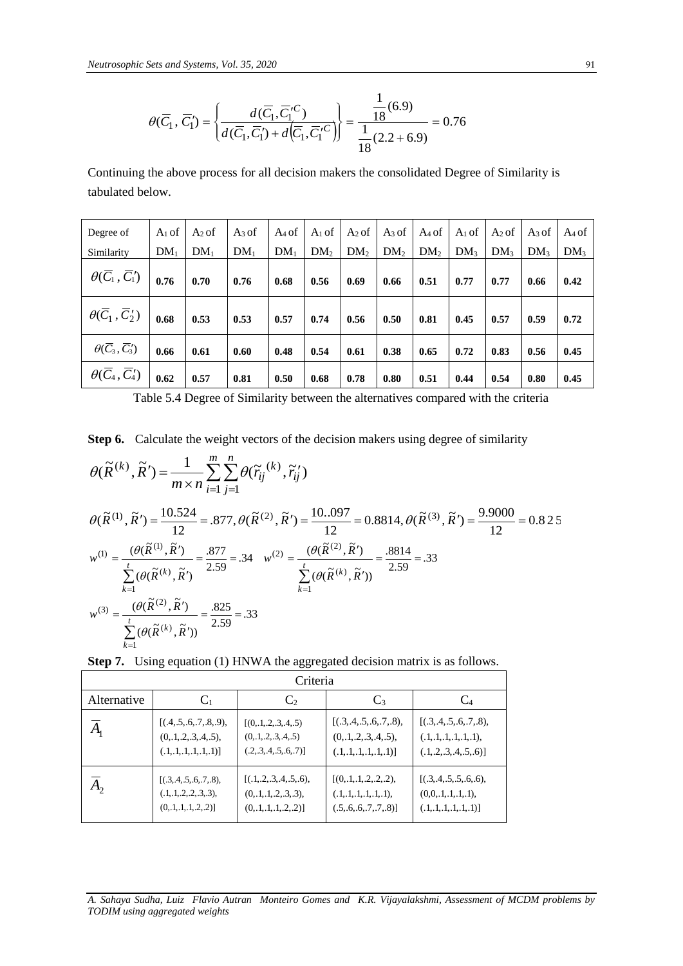$$
\theta(\overline{C}_1, \overline{C}_1') = \left\{ \frac{d(\overline{C}_1, \overline{C}_1^{\prime C})}{d(\overline{C}_1, \overline{C}_1') + d(\overline{C}_1, \overline{C}_1'^C)} \right\} = \frac{\frac{1}{18}(6.9)}{\frac{1}{18}(2.2 + 6.9)} = 0.76
$$

Continuing the above process for all decision makers the consolidated Degree of Similarity is tabulated below.

| Degree of                                 | $A_1$ of                     | $A_2$ of        | $A_3$ of        | $A_4$ of        | $A_1$ of        |                 |                 | $A_2$ of $A_3$ of $A_4$ of |                 | $A_1$ of $A_2$ of $A_3$ of $A_4$ of |                 |                 |
|-------------------------------------------|------------------------------|-----------------|-----------------|-----------------|-----------------|-----------------|-----------------|----------------------------|-----------------|-------------------------------------|-----------------|-----------------|
| Similarity                                | DM <sub>1</sub>              | DM <sub>1</sub> | DM <sub>1</sub> | DM <sub>1</sub> | DM <sub>2</sub> | DM <sub>2</sub> | DM <sub>2</sub> | DM <sub>2</sub>            | DM <sub>3</sub> | DM <sub>3</sub>                     | DM <sub>3</sub> | DM <sub>3</sub> |
| $\theta(\overline{C}_1, \overline{C}_1')$ | 0.76                         | 0.70            | 0.76            | 0.68            | 0.56            | 0.69            | 0.66            | 0.51                       | 0.77            | 0.77                                | 0.66            | 0.42            |
| $\theta(\overline{C}_1^{},C_2^{})$        | $\overline{\phantom{0}}0.68$ | 0.53            | 0.53            | 0.57            | 0.74            | 0.56            | 0.50            | 0.81                       | 0.45            | 0.57                                | 0.59            | 0.72            |
| $\theta(\overline{C}_3, \overline{C}_3')$ | 0.66                         | 0.61            | 0.60            | 0.48            | 0.54            | 0.61            | 0.38            | 0.65                       | 0.72            | 0.83                                | 0.56            | 0.45            |
| $\theta(\overline{C}_4,\overline{C}_4')$  | 0.62                         | 0.57            | 0.81            | 0.50            | 0.68            | 0.78            | 0.80            | 0.51                       | 0.44            | 0.54                                | 0.80            | 0.45            |

Table 5.4 Degree of Similarity between the alternatives compared with the criteria

|  |  |  |  |  | <b>Step 6.</b> Calculate the weight vectors of the decision makers using degree of similarity |  |
|--|--|--|--|--|-----------------------------------------------------------------------------------------------|--|
|  |  |  |  |  |                                                                                               |  |

$$
\theta(\tilde{R}^{(k)}, \tilde{R}') = \frac{1}{m \times n} \sum_{i=1}^{m} \sum_{j=1}^{n} \theta(\tilde{r}_{ij}^{(k)}, \tilde{r}'_{ij})
$$
  
\n
$$
\theta(\tilde{R}^{(1)}, \tilde{R}') = \frac{10.524}{12} = .877, \theta(\tilde{R}^{(2)}, \tilde{R}') = \frac{10..097}{12} = 0.8814, \theta(\tilde{R}^{(3)}, \tilde{R}') = \frac{9.9000}{12} = 0.825
$$
  
\n
$$
w^{(1)} = \frac{(\theta(\tilde{R}^{(1)}, \tilde{R}')}{\sum_{k=1}^{t} (\theta(\tilde{R}^{(k)}, \tilde{R}'))} = \frac{.877}{2.59} = .34 \quad w^{(2)} = \frac{(\theta(\tilde{R}^{(2)}, \tilde{R}')}{\sum_{k=1}^{t} (\theta(\tilde{R}^{(k)}, \tilde{R}'))} = \frac{.8814}{2.59} = .33
$$
  
\n
$$
w^{(3)} = \frac{(\theta(\tilde{R}^{(2)}, \tilde{R}')}{\sum_{k=1}^{t} (\theta(\tilde{R}^{(k)}, \tilde{R}'))} = \frac{.825}{2.59} = .33
$$

**Step 7.** Using equation (1) HNWA the aggregated decision matrix is as follows.

|                            | Criteria                     |                            |                             |                             |  |  |  |  |  |  |
|----------------------------|------------------------------|----------------------------|-----------------------------|-----------------------------|--|--|--|--|--|--|
| Alternative                | $C_1$<br>$C_2$               |                            | $C_3$                       | $C_4$                       |  |  |  |  |  |  |
| $A_{\scriptscriptstyle 1}$ | [(.4, .5, .6, .7, .8, .9),   | [(0,1,2,3,4,5)             | [(.3, .4, .5, .6, .7, .8),] | [(.3, .4, .5, .6, .7, .8),] |  |  |  |  |  |  |
|                            | (0, 1, 2, 3, 4, 5),          | (0, 1, 2, 3, 4, 5)         | $(0, 1, 2, 3, 4, 5)$ ,      | (.1, .1, .1, .1, .1, .1),   |  |  |  |  |  |  |
|                            | $(.1, .1, .1, .1, .1, .1)$ ] | (.2, .3, .4, .5, .6, .7)]  | (.1, .1, .1, .1, .1, .1)    | (.1, 2, .3, .4, .5, .6)]    |  |  |  |  |  |  |
| $A^{\vphantom{\dagger}}_2$ | [(.3, .4, .5, .6, .7, .8),]  | [(.1, .2, .3, .4, .5, .6), | [(0,1,1,2,2,2,2),           | [(.3, .4, .5, .5, .6, .6),  |  |  |  |  |  |  |
|                            | (.1, .1, .2, .2, .3, .3),    | $(0, 1, 1, 2, 3, 3)$ ,     | (.1, .1, .1, .1, .1, .1),   | (0,0,1,1,1,1,1),            |  |  |  |  |  |  |
|                            | (0, 1, 1, 1, 2, 2)           | (0, 1, 1, 1, 2, 2)         | (.5, .6, .6, .7, .7, .8)]   | (.1, .1, .1, .1, .1, .1)    |  |  |  |  |  |  |

*A. Sahaya Sudha, Luiz Flavio Autran Monteiro Gomes and K.R. Vijayalakshmi, Assessment of MCDM problems by TODIM using aggregated weights*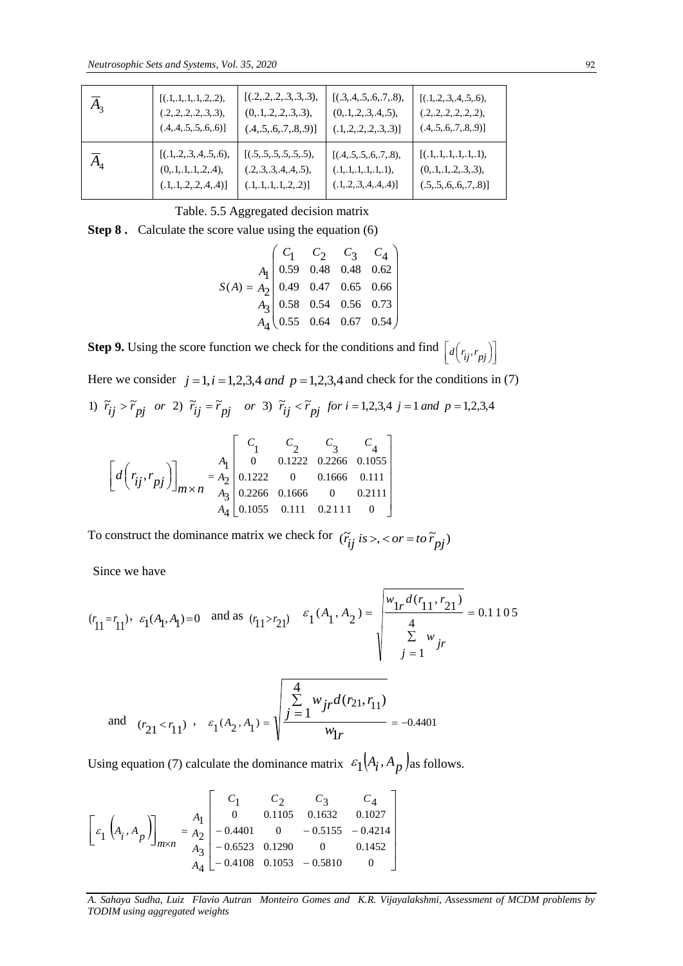| $A_{3}$                                                                                                                                                                                                                                                                                                                                                                           | [(.1, .1, .1, .1, .2, .2),<br>(.2, .2, .2, .2, .3, .3),<br>(.4, .4, .5, .5, .6, .6)]                                                                                                                                                                                                                                                                                                                                      | [(.2, .2, .2, .3, .3, .3),<br>$(0, 1, 2, 2, 3, 3)$ ,<br>(.4, .5, .6, .7, .8, .9)]                                                                            | [(.3, .4, .5, .6, .7, .8),<br>(0, 1, 2, 3, 4, 5),<br>(.1, .2, .2, .2, .3, .3)]       | [(.1, .2, .3, .4, .5, .6),<br>(.2, .2, .2, .2, .2, .2),<br>(.4, .5, .6, .7, .8, .9)]         |  |  |  |  |  |  |
|-----------------------------------------------------------------------------------------------------------------------------------------------------------------------------------------------------------------------------------------------------------------------------------------------------------------------------------------------------------------------------------|---------------------------------------------------------------------------------------------------------------------------------------------------------------------------------------------------------------------------------------------------------------------------------------------------------------------------------------------------------------------------------------------------------------------------|--------------------------------------------------------------------------------------------------------------------------------------------------------------|--------------------------------------------------------------------------------------|----------------------------------------------------------------------------------------------|--|--|--|--|--|--|
| $\overline{A}_4$                                                                                                                                                                                                                                                                                                                                                                  | [(.1, 2, .3, .4, .5, .6),<br>(0, 1, 1, 1, 1, 2, 4),<br>(.1, .1, .2, .2, .4, .4)]                                                                                                                                                                                                                                                                                                                                          | [(.5, .5, .5, .5, .5, .5),<br>(.2, .3, .3, .4, .4, .5),<br>(.1, .1, .1, .1, .2, .2)]                                                                         | [(.4, .5, .5, .6, .7, .8),<br>(.1, .1, .1, .1, .1, .1),<br>(.1, .2, .3, .4, .4, .4)] | [(.1, .1, .1, .1, .1, .1),<br>(0, 1, 1, 2, 3, 3),<br>(.5, .5, .6, .6, .7, .8)]               |  |  |  |  |  |  |
|                                                                                                                                                                                                                                                                                                                                                                                   |                                                                                                                                                                                                                                                                                                                                                                                                                           | Table. 5.5 Aggregated decision matrix                                                                                                                        |                                                                                      |                                                                                              |  |  |  |  |  |  |
|                                                                                                                                                                                                                                                                                                                                                                                   |                                                                                                                                                                                                                                                                                                                                                                                                                           | <b>Step 8.</b> Calculate the score value using the equation (6)                                                                                              |                                                                                      |                                                                                              |  |  |  |  |  |  |
|                                                                                                                                                                                                                                                                                                                                                                                   | $S(A) = \begin{pmatrix} C_1 & C_2 & C_3 & C_4 \\ 0.59 & 0.48 & 0.48 & 0.62 \\ 0.49 & 0.47 & 0.65 & 0.66 \\ A_3 & 0.58 & 0.54 & 0.56 & 0.73 \\ A_4 & 0.55 & 0.64 & 0.67 & 0.54 \end{pmatrix}$                                                                                                                                                                                                                              |                                                                                                                                                              |                                                                                      |                                                                                              |  |  |  |  |  |  |
|                                                                                                                                                                                                                                                                                                                                                                                   |                                                                                                                                                                                                                                                                                                                                                                                                                           | <b>Step 9.</b> Using the score function we check for the conditions and find $\left[ d(r_{ij}, r_{pj}) \right]$                                              |                                                                                      |                                                                                              |  |  |  |  |  |  |
|                                                                                                                                                                                                                                                                                                                                                                                   |                                                                                                                                                                                                                                                                                                                                                                                                                           |                                                                                                                                                              |                                                                                      | Here we consider $j = 1$ , $i = 1,2,3,4$ and $p = 1,2,3,4$ and check for the conditions in ( |  |  |  |  |  |  |
|                                                                                                                                                                                                                                                                                                                                                                                   |                                                                                                                                                                                                                                                                                                                                                                                                                           | 1) $\tilde{r}_{ij} > \tilde{r}_{pj}$ or 2) $\tilde{r}_{ij} = \tilde{r}_{pj}$ or 3) $\tilde{r}_{ij} < \tilde{r}_{pj}$ for $i = 1,2,3,4$ j = 1 and p = 1,2,3,4 |                                                                                      |                                                                                              |  |  |  |  |  |  |
|                                                                                                                                                                                                                                                                                                                                                                                   | $\begin{bmatrix} d\left(r_{ij}, r_{pj}\right) \end{bmatrix}_{m \times n} = \begin{bmatrix} A_1 \begin{bmatrix} C_1 & C_2 & C_3 & C_4 \\ 0 & 0.1222 & 0.2266 & 0.1055 \\ 0.1222 & 0 & 0.1666 & 0.111 \\ 0.2266 & 0.1666 & 0 & 0.2111 \end{bmatrix}$<br>$A_4$ 0.1055 0.111 0.2111<br>$\overline{0}$<br>To construct the dominance matrix we check for $(\tilde{r}_{ij}$ is >, < or = to $\tilde{r}_{pj}$ )<br>Since we have |                                                                                                                                                              |                                                                                      |                                                                                              |  |  |  |  |  |  |
|                                                                                                                                                                                                                                                                                                                                                                                   | $(r_{11} = r_{11}), \varepsilon_1(A_1, A_1) = 0$ and as $(r_{11} > r_{21})$ $\varepsilon_1(A_1, A_2) = \sqrt{\frac{w_{1r}d(r_{11}, r_{21})}{\sum_{i=1}^{4} w_{ir}}} = 0.110$                                                                                                                                                                                                                                              |                                                                                                                                                              |                                                                                      |                                                                                              |  |  |  |  |  |  |
|                                                                                                                                                                                                                                                                                                                                                                                   |                                                                                                                                                                                                                                                                                                                                                                                                                           |                                                                                                                                                              |                                                                                      |                                                                                              |  |  |  |  |  |  |
|                                                                                                                                                                                                                                                                                                                                                                                   | and $(r_{21} < r_{11})$ , $\varepsilon_1(A_2, A_1) = \sqrt{\frac{\sum_{j=1}^{4} w_{jr} d(r_{21}, r_{11})}{w_{jr}}} = -0.4401$                                                                                                                                                                                                                                                                                             |                                                                                                                                                              |                                                                                      |                                                                                              |  |  |  |  |  |  |
|                                                                                                                                                                                                                                                                                                                                                                                   | Using equation (7) calculate the dominance matrix $\varepsilon_1(A_i, A_p)$ as follows.                                                                                                                                                                                                                                                                                                                                   |                                                                                                                                                              |                                                                                      |                                                                                              |  |  |  |  |  |  |
| $\begin{bmatrix} \epsilon_1 \left(A_i, A_p\right) \end{bmatrix}_{m \times n} = \begin{bmatrix} A_1 & C_1 & C_2 & C_3 & C_4 \\ 0 & 0.1105 & 0.1632 & 0.1027 \\ -0.4401 & 0 & -0.5155 & -0.4214 \\ -0.6523 & 0.1290 & 0 & 0.1452 \\ A_4 & -0.4108 & 0.1053 & -0.5810 & 0 \end{bmatrix}$<br>A. Sahaya Sudha, Luiz Flavio Autran Monteiro Gomes and K.R. Vijayalakshmi, Assessment of |                                                                                                                                                                                                                                                                                                                                                                                                                           |                                                                                                                                                              |                                                                                      |                                                                                              |  |  |  |  |  |  |
|                                                                                                                                                                                                                                                                                                                                                                                   | TODIM using aggregated weights                                                                                                                                                                                                                                                                                                                                                                                            |                                                                                                                                                              |                                                                                      |                                                                                              |  |  |  |  |  |  |

Table. 5.5 Aggregated decision matrix

$$
S(A) = A_2 \begin{pmatrix} C_1 & C_2 & C_3 & C_4 \\ 0.59 & 0.48 & 0.48 & 0.62 \\ 0.49 & 0.47 & 0.65 & 0.66 \\ A_3 \begin{pmatrix} 0.58 & 0.54 & 0.56 & 0.73 \\ 0.55 & 0.64 & 0.67 & 0.54 \end{pmatrix}
$$

Here we consider 
$$
j = 1
$$
,  $i = 1, 2, 3, 4$  and  $p = 1, 2, 3, 4$  and check for the conditions  
1)  $\tilde{r}_{ij} > \tilde{r}_{pj}$  or 2)  $\tilde{r}_{ij} = \tilde{r}_{pj}$  or 3)  $\tilde{r}_{ij} < \tilde{r}_{pj}$  for  $i = 1, 2, 3, 4$   $j = 1$  and  $p = 1, 2, 3, 4$ 

$$
\begin{bmatrix} d\left(r_{ij}, r_{pj}\right) \end{bmatrix}_{m \times n} = \begin{bmatrix} A_1 \\ A_2 \\ A_3 \\ A_4 \end{bmatrix} \begin{bmatrix} C_1 & C_2 & C_3 & C_4 \\ 0 & 0.1222 & 0.2266 & 0.1055 \\ 0.1222 & 0 & 0.1666 & 0.111 \\ 0.2266 & 0.1666 & 0 & 0.2111 \\ 0.1055 & 0.111 & 0.2111 & 0 \end{bmatrix}
$$

$$
(r_{11} = r_{11})
$$
,  $\varepsilon_1(A_1, A_1) = 0$  and as  $(r_{11} > r_{21})$   $\varepsilon_1(A_1, A_2) =$ 
$$
\begin{cases} w_{1r} d(r_{11}, r_{21}) \\ \frac{4}{\sum_{j=1}^{N} w_{jr}} \end{cases} = 0.1105
$$

and 
$$
(r_{21} < r_{11})
$$
,  $\varepsilon_1(A_2, A_1) = \sqrt{\frac{\sum_{j=1}^{4} w_{jr} d(r_{21}, r_{11})}{w_{1r}}} = -0.4401$ 

$$
\[\varepsilon_1\left(A_i, A_p\right)\]_{m \times n} = \begin{bmatrix} A_1 \\ A_2 \\ A_3 \\ A_4 \end{bmatrix} \begin{bmatrix} C_1 & C_2 & C_3 & C_4 \\ 0 & 0.1105 & 0.1632 & 0.1027 \\ -0.4401 & 0 & -0.5155 & -0.4214 \\ -0.6523 & 0.1290 & 0 & 0.1452 \\ -0.4108 & 0.1053 & -0.5810 & 0 \end{bmatrix}\]
$$

*A. Sahaya Sudha, Luiz Flavio Autran Monteiro Gomes and K.R. Vijayalakshmi, Assessment of MCDM problems by*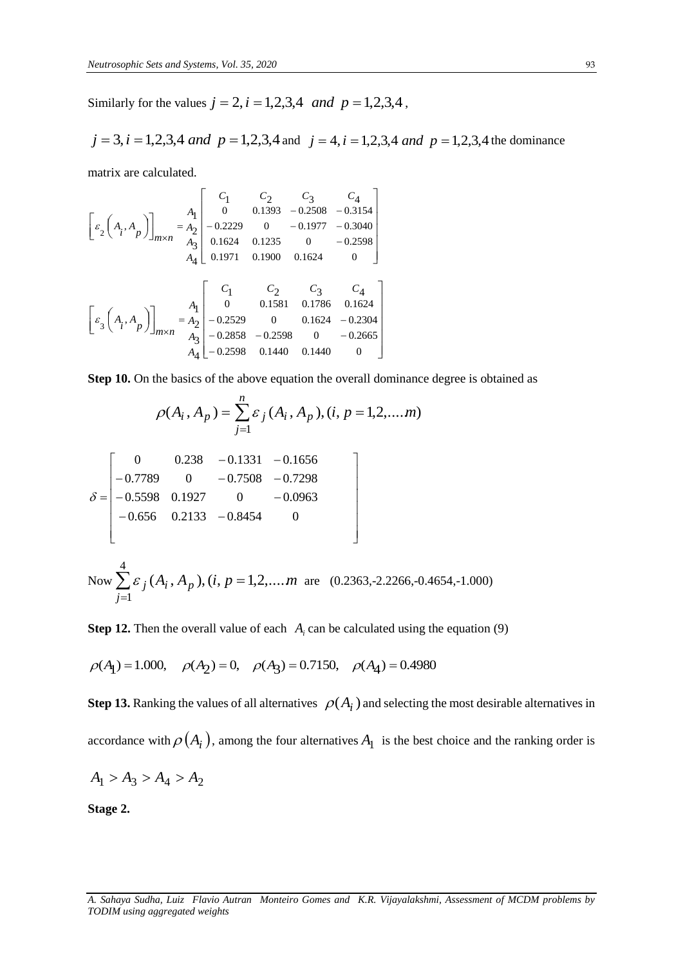Similarly for the values  $j = 2$ ,  $i = 1,2,3,4$  *and*  $p = 1,2,3,4$ ,

$$
j = 3
$$
,  $i = 1,2,3,4$  and  $p = 1,2,3,4$  and  $j = 4$ ,  $i = 1,2,3,4$  and  $p = 1,2,3,4$  the dominance

matrix are calculated.

$$
\begin{bmatrix}\n\varepsilon_2 \left( A_i, A_p \right)\n\end{bmatrix}_{m \times n} = \n\begin{bmatrix}\nA_1 \\
A_2 \\
A_3\n\end{bmatrix}\n\begin{bmatrix}\nC_1 & C_2 & C_3 & C_4 \\
0 & 0.1393 & -0.2508 & -0.3154 \\
-0.2229 & 0 & -0.1977 & -0.3040 \\
0.1624 & 0.1235 & 0 & -0.2598 \\
0.1971 & 0.1900 & 0.1624 & 0\n\end{bmatrix}
$$
\n
$$
\begin{bmatrix}\n\varepsilon_3 \left( A_i, A_p \right)\n\end{bmatrix}_{m \times n} = \n\begin{bmatrix}\nA_1 \\
A_2 \\
A_3\n\end{bmatrix}\n\begin{bmatrix}\nC_1 & C_2 & C_3 & C_4 \\
0 & 0.1581 & 0.1786 & 0.1624 \\
-0.2598 & 0 & 0.1624 & -0.2304 \\
-0.2598 & 0.1440 & 0.1440 & 0\n\end{bmatrix}
$$

**Step 10.** On the basics of the above equation the overall dominance degree is obtained as

$$
\rho(A_i, A_p) = \sum_{j=1}^n \varepsilon_j(A_i, A_p), (i, p = 1, 2, \dots, m)
$$

$$
\delta = \begin{bmatrix}\n0 & 0.238 & -0.1331 & -0.1656 \\
-0.7789 & 0 & -0.7508 & -0.7298 \\
-0.5598 & 0.1927 & 0 & -0.0963 \\
-0.656 & 0.2133 & -0.8454 & 0\n\end{bmatrix}
$$

Now 
$$
\sum_{j=1}^{4} \varepsilon_j (A_i, A_p)
$$
,  $(i, p = 1, 2, \dots, m$  are (0.2363, -2.2266, -0.4654, -1.000)

**Step 12.** Then the overall value of each  $A_i$  can be calculated using the equation (9)

$$
\rho(A_1) = 1.000
$$
,  $\rho(A_2) = 0$ ,  $\rho(A_3) = 0.7150$ ,  $\rho(A_4) = 0.4980$ 

**Step 13.** Ranking the values of all alternatives  $\rho(A_i)$  and selecting the most desirable alternatives in accordance with  $\rho(A_i)$ , among the four alternatives  $A_1$  is the best choice and the ranking order is

 $\mathbf{I}$  $\downarrow$  $\downarrow$  $\downarrow$  $\downarrow$  $\downarrow$ 

 $\overline{\mathcal{L}}$ 

┘

$$
A_1 > A_3 > A_4 > A_2
$$

**Stage 2.**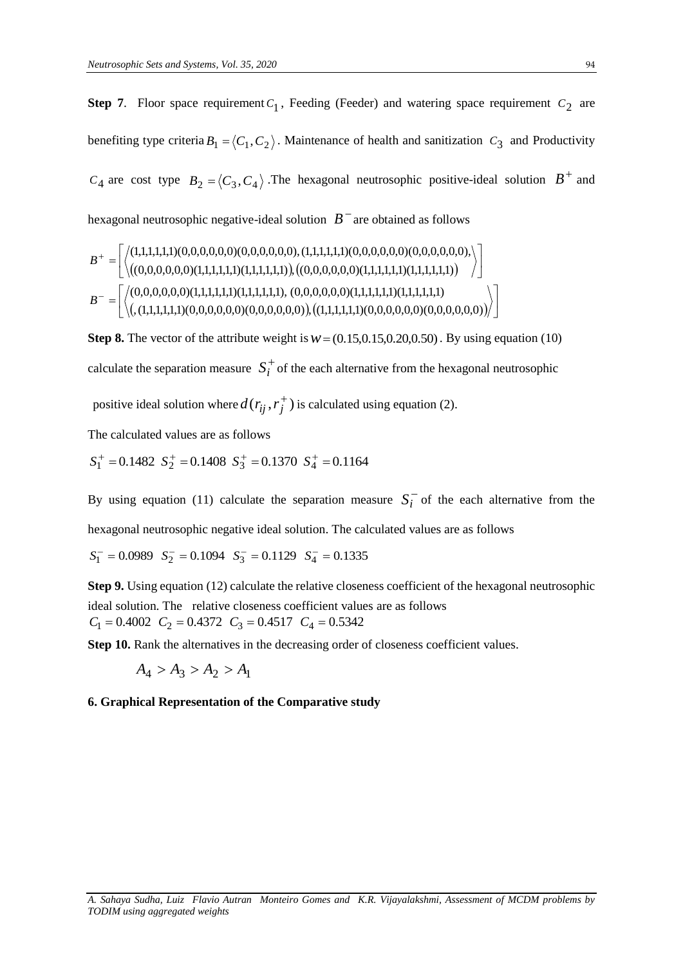**Step 7**. Floor space requirement  $C_1$ , Feeding (Feeder) and watering space requirement  $C_2$  are benefiting type criteria  $B_1 = \langle C_1, C_2 \rangle$ . Maintenance of health and sanitization  $C_3$  and Productivity  $C_4$  are cost type  $B_2 = \langle C_3, C_4 \rangle$ . The hexagonal neutrosophic positive-ideal solution  $B^+$  and hexagonal neutrosophic negative-ideal solution  $\overline{B}^-$  are obtained as follows

 ,(1,1,1,1,1,1)(0,0,0,0,0,0)(0,0,0,0,0,0) , (1,1,1,1,1,1)(0,0,0,0,0,0)(0,0,0,0,0,0) (0,0,0,0,0,0)(1,1,1,1,1,1)(1,1,1,1,1,1), (0,0,0,0,0,0)(1,1,1,1,1,1)(1,1,1,1,1,1) (0,0,0,0,0,0)(1,1,1,1,1,1)(1,1,1,1,1,1) ,(0,0,0,0,0,0)(1,1,1,1,1,1)(1,1,1,1,1,1) (1,1,1,1,1,1)(0,0,0,0,0,0)(0,0,0,0,0,0),(1,1,1,1,1,1)(0,0,0,0,0,0)(0,0,0,0,0,0), *B B*

**Step 8.** The vector of the attribute weight is  $w = (0.15, 0.15, 0.20, 0.50)$ . By using equation (10) calculate the separation measure  $S_i^+$  of the each alternative from the hexagonal neutrosophic

positive ideal solution where  $d(r_{ij}, r_j^+)$  is calculated using equation (2).

The calculated values are as follows

 $S_1^+ = 0.1482 \, S_2^+ = 0.1408 \, S_3^+ = 0.1370 \, S_4^+ = 0.1164$ 

By using equation (11) calculate the separation measure  $S_i^-$  of the each alternative from the

hexagonal neutrosophic negative ideal solution. The calculated values are as follows

 $S_1^-$  = 0.0989  $S_2^-$  = 0.1094  $S_3^-$  = 0.1129  $S_4^-$  = 0.1335

**Step 9.** Using equation (12) calculate the relative closeness coefficient of the hexagonal neutrosophic ideal solution. The relative closeness coefficient values are as follows  $C_1 = 0.4002$   $C_2 = 0.4372$   $C_3 = 0.4517$   $C_4 = 0.5342$ 

**Step 10.** Rank the alternatives in the decreasing order of closeness coefficient values.

 $A_4 > A_3 > A_2 > A_1$ 

# **6. Graphical Representation of the Comparative study**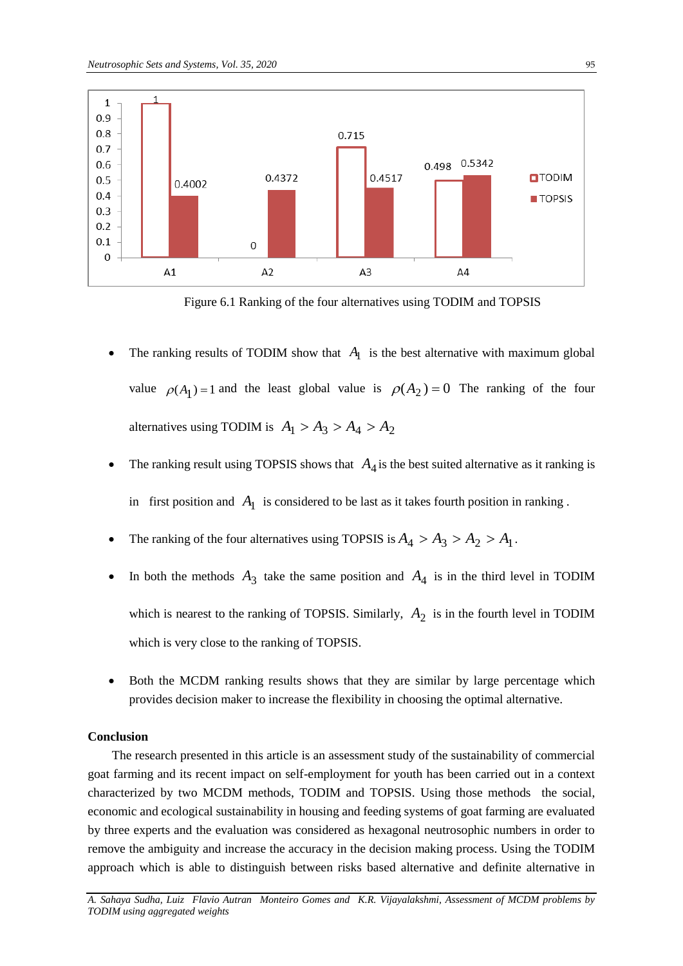

Figure 6.1 Ranking of the four alternatives using TODIM and TOPSIS

- The ranking results of TODIM show that  $A_1$  is the best alternative with maximum global value  $\rho(A_1) = 1$  and the least global value is  $\rho(A_2) = 0$  The ranking of the four alternatives using TODIM is  $A_1 > A_3 > A_4 > A_2$
- The ranking result using TOPSIS shows that  $A_4$  is the best suited alternative as it ranking is in first position and  $A_1$  is considered to be last as it takes fourth position in ranking.
- The ranking of the four alternatives using TOPSIS is  $A_4 > A_3 > A_2 > A_1$ .
- In both the methods  $A_3$  take the same position and  $A_4$  is in the third level in TODIM which is nearest to the ranking of TOPSIS. Similarly,  $A_2$  is in the fourth level in TODIM which is very close to the ranking of TOPSIS.
- Both the MCDM ranking results shows that they are similar by large percentage which provides decision maker to increase the flexibility in choosing the optimal alternative.

# **Conclusion**

The research presented in this article is an assessment study of the sustainability of commercial goat farming and its recent impact on self-employment for youth has been carried out in a context characterized by two MCDM methods, TODIM and TOPSIS. Using those methods the social, economic and ecological sustainability in housing and feeding systems of goat farming are evaluated by three experts and the evaluation was considered as hexagonal neutrosophic numbers in order to remove the ambiguity and increase the accuracy in the decision making process. Using the TODIM approach which is able to distinguish between risks based alternative and definite alternative in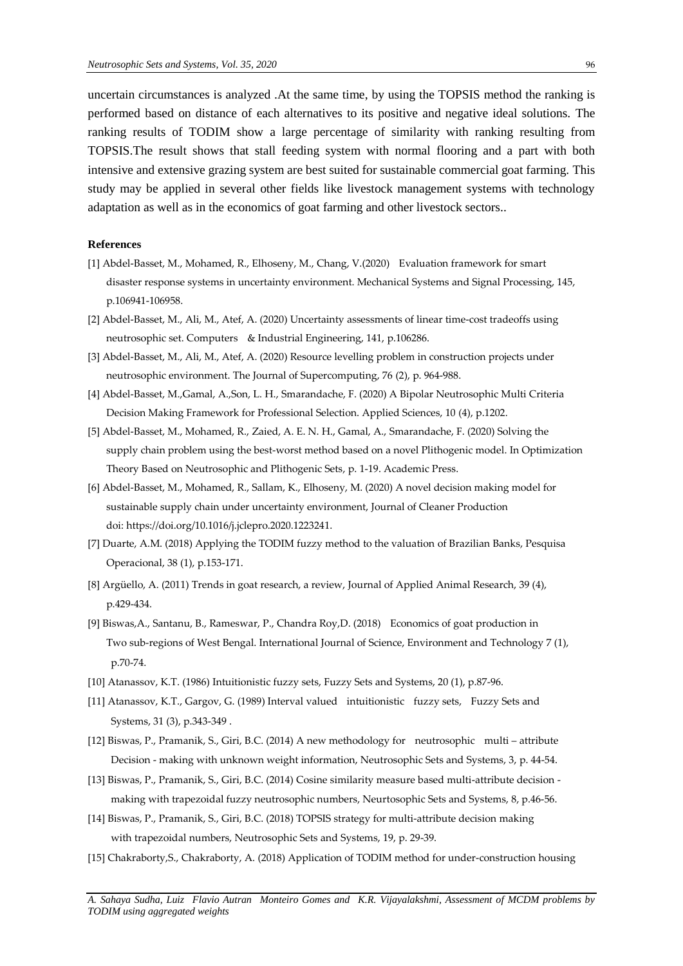uncertain circumstances is analyzed .At the same time, by using the TOPSIS method the ranking is performed based on distance of each alternatives to its positive and negative ideal solutions. The ranking results of TODIM show a large percentage of similarity with ranking resulting from TOPSIS.The result shows that stall feeding system with normal flooring and a part with both intensive and extensive grazing system are best suited for sustainable commercial goat farming. This study may be applied in several other fields like livestock management systems with technology adaptation as well as in the economics of goat farming and other livestock sectors..

# **References**

- [1] Abdel-Basset, M., Mohamed, R., Elhoseny, M., Chang, V.(2020) Evaluation framework for smart disaster response systems in uncertainty environment. Mechanical Systems and Signal Processing, 145, p.106941-106958.
- [2] Abdel-Basset, M., Ali, M., Atef, A. (2020) Uncertainty assessments of linear time-cost tradeoffs using neutrosophic set. Computers & Industrial Engineering, 141, p.106286.
- [3] Abdel-Basset, M., Ali, M., Atef, A. (2020) Resource levelling problem in construction projects under neutrosophic environment. The Journal of Supercomputing, 76 (2), p. 964-988.
- [4] Abdel-Basset, M.,Gamal, A.,Son, L. H., Smarandache, F. (2020) A Bipolar Neutrosophic Multi Criteria Decision Making Framework for Professional Selection. Applied Sciences, 10 (4), p.1202.
- [5] Abdel-Basset, M., Mohamed, R., Zaied, A. E. N. H., Gamal, A., Smarandache, F. (2020) Solving the supply chain problem using the best-worst method based on a novel Plithogenic model. In Optimization Theory Based on Neutrosophic and Plithogenic Sets, p. 1-19. Academic Press.
- [6] Abdel-Basset, M., Mohamed, R., Sallam, K., Elhoseny, M. (2020) A novel decision making model for sustainable supply chain under uncertainty environment, Journal of Cleaner Production doi: https://doi.org/10.1016/j.jclepro.2020.1223241.
- [7] Duarte, A.M. (2018) Applying the TODIM fuzzy method to the valuation of Brazilian Banks, Pesquisa Operacional, 38 (1), p.153-171.
- [8] Argüello, A. (2011) Trends in goat research, a review, Journal of Applied Animal Research, 39 (4), p.429-434.
- [9] Biswas,A., Santanu, B., Rameswar, P., Chandra Roy,D. (2018) Economics of goat production in Two sub-regions of West Bengal. International Journal of Science, Environment and Technology 7 (1), p.70-74.
- [10] Atanassov, K.T. (1986) Intuitionistic fuzzy sets, Fuzzy Sets and Systems, 20 (1), p.87-96.
- [11] Atanassov, K.T., Gargov, G. (1989) Interval valued intuitionistic fuzzy sets, Fuzzy Sets and Systems, 31 (3), p.343-349 .
- [12] Biswas, P., Pramanik, S., Giri, B.C. (2014) A new methodology for neutrosophic multi attribute Decision - making with unknown weight information, Neutrosophic Sets and Systems, 3, p. 44-54.
- [13] Biswas, P., Pramanik, S., Giri, B.C. (2014) Cosine similarity measure based multi-attribute decision making with trapezoidal fuzzy neutrosophic numbers, Neurtosophic Sets and Systems, 8, p.46-56.
- [14] Biswas, P., Pramanik, S., Giri, B.C. (2018) TOPSIS strategy for multi-attribute decision making with trapezoidal numbers, Neutrosophic Sets and Systems, 19, p. 29-39.
- [15] Chakraborty,S., Chakraborty, A. (2018) Application of TODIM method for under-construction housing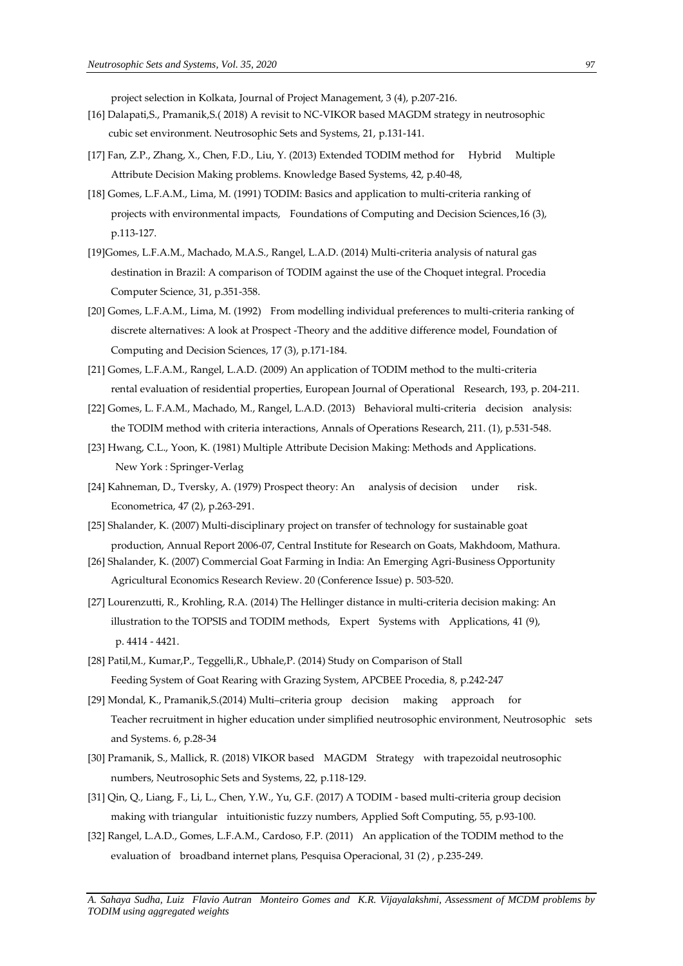project selection in Kolkata, Journal of Project Management, 3 (4), p.207-216.

- [16] Dalapati,S., Pramanik,S.( 2018) A revisit to NC-VIKOR based MAGDM strategy in neutrosophic cubic set environment. Neutrosophic Sets and Systems, 21, p.131-141.
- [17] Fan, Z.P., Zhang, X., Chen, F.D., Liu, Y. (2013) Extended TODIM method for Hybrid Multiple Attribute Decision Making problems. Knowledge Based Systems, 42, p.40-48,
- [18] Gomes, L.F.A.M., Lima, M. (1991) TODIM: Basics and application to multi-criteria ranking of projects with environmental impacts, Foundations of Computing and Decision Sciences,16 (3), p.113-127.
- [19]Gomes, L.F.A.M., Machado, M.A.S., Rangel, L.A.D. (2014) Multi-criteria analysis of natural gas destination in Brazil: A comparison of TODIM against the use of the Choquet integral. Procedia Computer Science, 31, p.351-358.
- [20] Gomes, L.F.A.M., Lima, M. (1992) From modelling individual preferences to multi-criteria ranking of discrete alternatives: A look at Prospect -Theory and the additive difference model, Foundation of Computing and Decision Sciences, 17 (3), p.171-184.
- [21] Gomes, L.F.A.M., Rangel, L.A.D. (2009) An application of TODIM method to the multi-criteria rental evaluation of residential properties, European Journal of Operational Research, 193, p. 204-211.
- [22] Gomes, L. F.A.M., Machado, M., Rangel, L.A.D. (2013) Behavioral multi-criteria decision analysis: the TODIM method with criteria interactions, Annals of Operations Research, 211. (1), p.531-548.
- [23] Hwang, C.L., Yoon, K. (1981) Multiple Attribute Decision Making: Methods and Applications. New York : Springer-Verlag
- [24] Kahneman, D., Tversky, A. (1979) Prospect theory: An analysis of decision under risk. Econometrica, 47 (2), p.263-291.
- [25] Shalander, K. (2007) Multi-disciplinary project on transfer of technology for sustainable goat production, Annual Report 2006-07, Central Institute for Research on Goats, Makhdoom, Mathura.
- [26] Shalander, K. (2007) Commercial Goat Farming in India: An Emerging Agri-Business Opportunity Agricultural Economics Research Review. 20 (Conference Issue) p. 503-520.
- [27] Lourenzutti, R., Krohling, R.A. (2014) The Hellinger distance in multi-criteria decision making: An illustration to the TOPSIS and TODIM methods, Expert Systems with Applications, 41 (9), p. 4414 - 4421.
- [28] Patil,M., Kumar,P., Teggelli,R., Ubhale,P. (2014) Study on Comparison of Stall Feeding System of Goat Rearing with Grazing System, APCBEE Procedia, 8, p.242-247
- [29] Mondal, K., Pramanik,S.(2014) Multi–criteria group decision making approach for Teacher recruitment in higher education under simplified neutrosophic environment, Neutrosophic sets and Systems. 6, p.28-34
- [30] Pramanik, S., Mallick, R. (2018) VIKOR based MAGDM Strategy with trapezoidal neutrosophic numbers, Neutrosophic Sets and Systems, 22, p.118-129.
- [31] Qin, Q., Liang, F., Li, L., Chen, Y.W., Yu, G.F. (2017) A TODIM based multi-criteria group decision making with triangular intuitionistic fuzzy numbers, Applied Soft Computing, 55, p.93-100.
- [32] Rangel, L.A.D., Gomes, L.F.A.M., Cardoso, F.P. (2011) An application of the TODIM method to the evaluation of broadband internet plans, Pesquisa Operacional, 31 (2) , p.235-249.